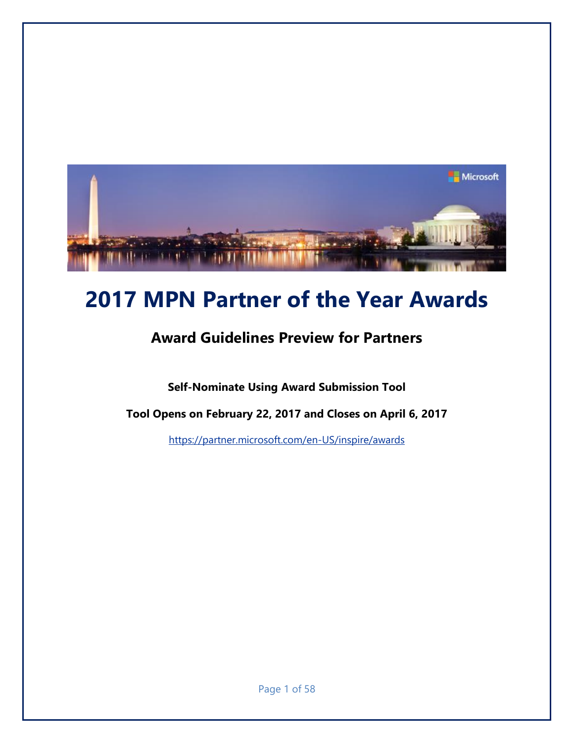

# **2017 MPN Partner of the Year Awards**

# **Award Guidelines Preview for Partners**

**Self-Nominate Using Award Submission Tool** 

**Tool Opens on February 22, 2017 and Closes on April 6, 2017**

<https://partner.microsoft.com/en-US/inspire/awards>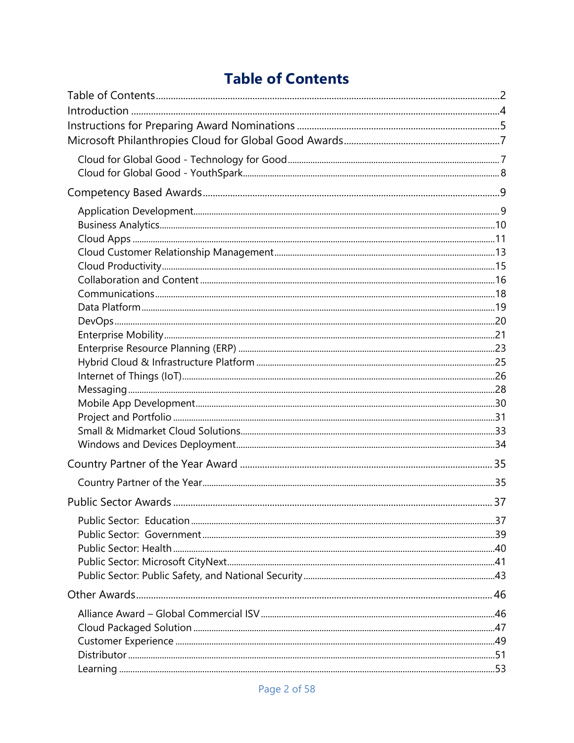# **Table of Contents**

<span id="page-1-0"></span>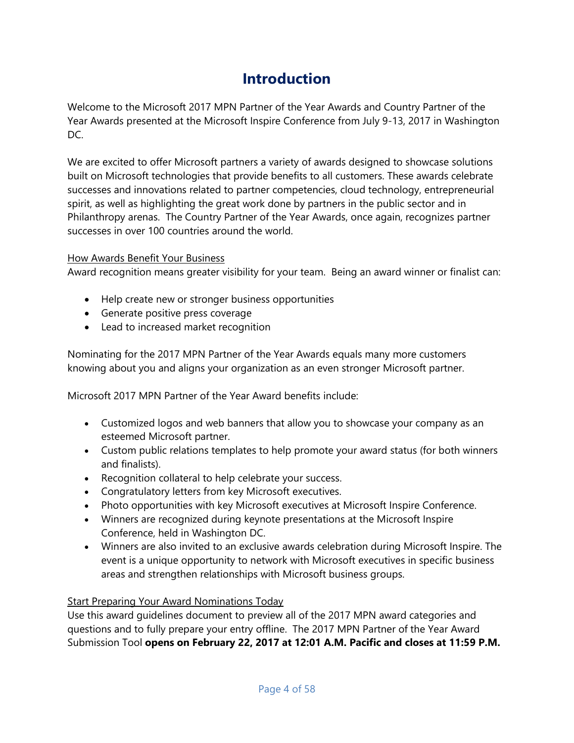# **Introduction**

<span id="page-3-0"></span>Welcome to the Microsoft 2017 MPN Partner of the Year Awards and Country Partner of the Year Awards presented at the Microsoft Inspire Conference from July 9-13, 2017 in Washington DC.

We are excited to offer Microsoft partners a variety of awards designed to showcase solutions built on Microsoft technologies that provide benefits to all customers. These awards celebrate successes and innovations related to partner competencies, cloud technology, entrepreneurial spirit, as well as highlighting the great work done by partners in the public sector and in Philanthropy arenas. The Country Partner of the Year Awards, once again, recognizes partner successes in over 100 countries around the world.

#### How Awards Benefit Your Business

Award recognition means greater visibility for your team. Being an award winner or finalist can:

- Help create new or stronger business opportunities
- Generate positive press coverage
- Lead to increased market recognition

Nominating for the 2017 MPN Partner of the Year Awards equals many more customers knowing about you and aligns your organization as an even stronger Microsoft partner.

Microsoft 2017 MPN Partner of the Year Award benefits include:

- Customized logos and web banners that allow you to showcase your company as an esteemed Microsoft partner.
- Custom public relations templates to help promote your award status (for both winners and finalists).
- Recognition collateral to help celebrate your success.
- Congratulatory letters from key Microsoft executives.
- Photo opportunities with key Microsoft executives at Microsoft Inspire Conference.
- Winners are recognized during keynote presentations at the Microsoft Inspire Conference, held in Washington DC.
- Winners are also invited to an exclusive awards celebration during Microsoft Inspire. The event is a unique opportunity to network with Microsoft executives in specific business areas and strengthen relationships with Microsoft business groups.

#### Start Preparing Your Award Nominations Today

Use this award guidelines document to preview all of the 2017 MPN award categories and questions and to fully prepare your entry offline. The 2017 MPN Partner of the Year Award Submission Tool **opens on February 22, 2017 at 12:01 A.M. Pacific and closes at 11:59 P.M.**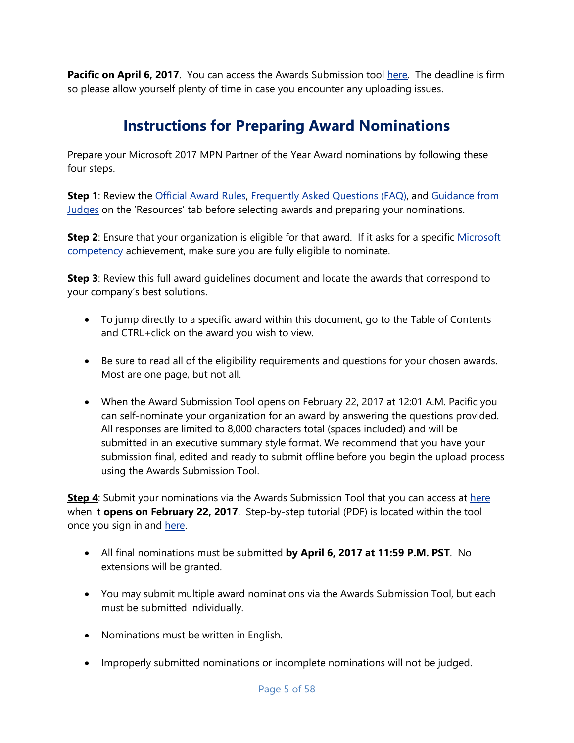**Pacific on April 6, 2017**. You can access the Awards Submission tool [here.](https://partner.microsoft.com/en-US/inspire/awards) The deadline is firm so please allow yourself plenty of time in case you encounter any uploading issues.

# **Instructions for Preparing Award Nominations**

<span id="page-4-0"></span>Prepare your Microsoft 2017 MPN Partner of the Year Award nominations by following these four steps.

**Step 1**: Review the [Official Award Rules, Frequently Asked Questions \(FAQ\),](https://partner.microsoft.com/en-US/inspire/awards) and Guidance from [Judges](https://partner.microsoft.com/en-US/inspire/awards) on the 'Resources' tab before selecting awards and preparing your nominations.

**Step 2**: Ensure that your organization is eligible for that award. If it asks for a specific Microsoft [competency](partner.microsoft.com) achievement, make sure you are fully eligible to nominate.

**Step 3**: Review this full award guidelines document and locate the awards that correspond to your company's best solutions.

- To jump directly to a specific award within this document, go to the Table of Contents and CTRL+click on the award you wish to view.
- Be sure to read all of the eligibility requirements and questions for your chosen awards. Most are one page, but not all.
- When the Award Submission Tool opens on February 22, 2017 at 12:01 A.M. Pacific you can self-nominate your organization for an award by answering the questions provided. All responses are limited to 8,000 characters total (spaces included) and will be submitted in an executive summary style format. We recommend that you have your submission final, edited and ready to submit offline before you begin the upload process using the Awards Submission Tool.

**Step 4:** Submit your nominations via the Awards Submission Tool that you can access at [here](https://partner.microsoft.com/en-US/inspire/awards) when it **opens on February 22, 2017**. Step-by-step tutorial (PDF) is located within the tool [once](http://www.digitalwpc.com/Awards/Documents/2014%20Microsoft%20Award%20Tool%20-%20Partner%20Training%20Guide%202014%20-%20FINAL.pdf) you sign in and [here.](https://partner.microsoft.com/en-US/inspire/awards)

- All final nominations must be submitted **by April 6, 2017 at 11:59 P.M. PST**. No extensions will be granted.
- You may submit multiple award nominations via the Awards Submission Tool, but each must be submitted individually.
- Nominations must be written in English.
- Improperly submitted nominations or incomplete nominations will not be judged.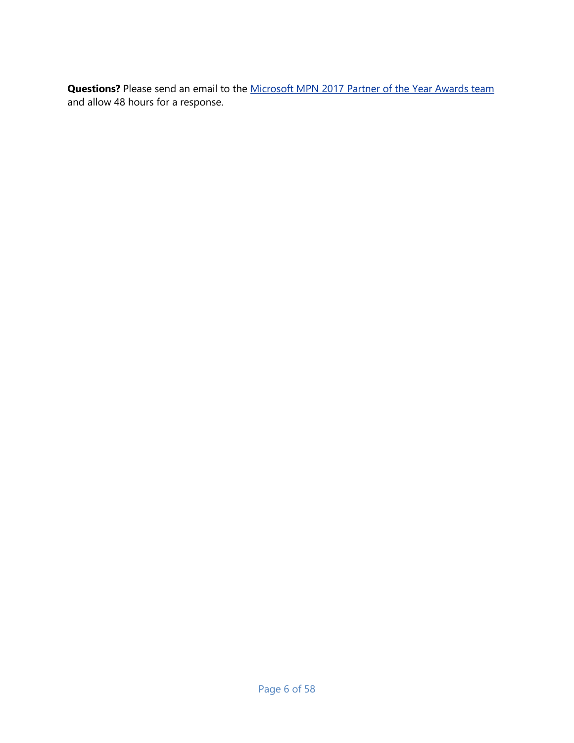**Questions?** Please send an email to the Microsoft MPN 2017 [Partner of the Year Awards team](mailto:MPNawards@microsoft.crgevents.com) and allow 48 hours for a response.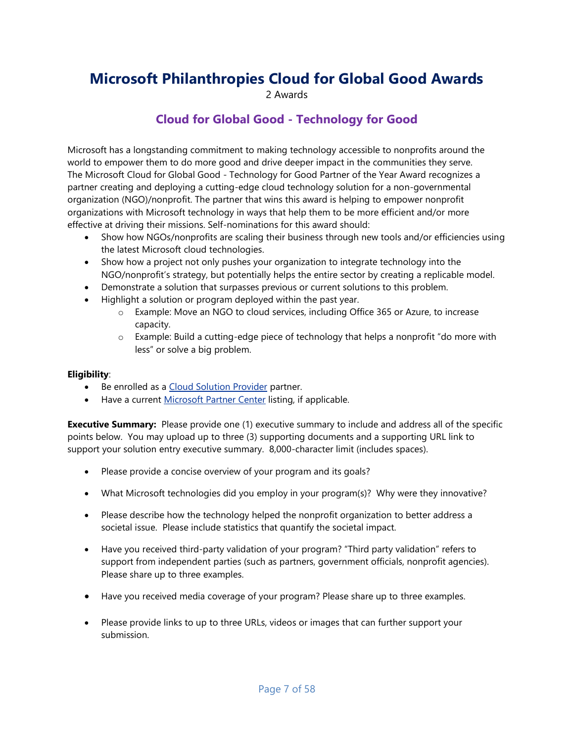# <span id="page-6-1"></span><span id="page-6-0"></span>**Microsoft Philanthropies Cloud for Global Good Awards**

2 Awards

### **Cloud for Global Good - Technology for Good**

Microsoft has a longstanding commitment to making technology accessible to nonprofits around the world to empower them to do more good and drive deeper impact in the communities they serve. The Microsoft Cloud for Global Good - Technology for Good Partner of the Year Award recognizes a partner creating and deploying a cutting-edge cloud technology solution for a non-governmental organization (NGO)/nonprofit. The partner that wins this award is helping to empower nonprofit organizations with Microsoft technology in ways that help them to be more efficient and/or more effective at driving their missions. Self-nominations for this award should:

- Show how NGOs/nonprofits are scaling their business through new tools and/or efficiencies using the latest Microsoft cloud technologies.
- Show how a project not only pushes your organization to integrate technology into the NGO/nonprofit's strategy, but potentially helps the entire sector by creating a replicable model.
- Demonstrate a solution that surpasses previous or current solutions to this problem.
- Highlight a solution or program deployed within the past year.
	- o Example: Move an NGO to cloud services, including Office 365 or Azure, to increase capacity.
	- $\circ$  Example: Build a cutting-edge piece of technology that helps a nonprofit "do more with less" or solve a big problem.

#### **Eligibility**:

- Be enrolled as a [Cloud Solution Provider](https://partner.microsoft.com/en-us/cloud-solution-provider) partner.
- Have a current [Microsoft Partner Center](https://partnercenter.microsoft.com/en-us/partner/home) listing, if applicable.

- Please provide a concise overview of your program and its goals?
- What Microsoft technologies did you employ in your program(s)? Why were they innovative?
- Please describe how the technology helped the nonprofit organization to better address a societal issue. Please include statistics that quantify the societal impact.
- Have you received third-party validation of your program? "Third party validation" refers to support from independent parties (such as partners, government officials, nonprofit agencies). Please share up to three examples.
- Have you received media coverage of your program? Please share up to three examples.
- Please provide links to up to three URLs, videos or images that can further support your submission.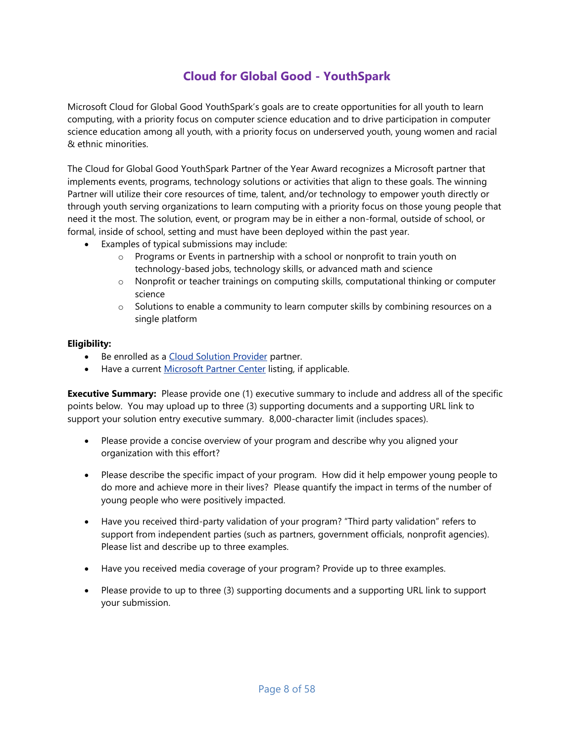# **Cloud for Global Good - YouthSpark**

<span id="page-7-0"></span>Microsoft Cloud for Global Good YouthSpark's goals are to create opportunities for all youth to learn computing, with a priority focus on computer science education and to drive participation in computer science education among all youth, with a priority focus on underserved youth, young women and racial & ethnic minorities.

The Cloud for Global Good YouthSpark Partner of the Year Award recognizes a Microsoft partner that implements events, programs, technology solutions or activities that align to these goals. The winning Partner will utilize their core resources of time, talent, and/or technology to empower youth directly or through youth serving organizations to learn computing with a priority focus on those young people that need it the most. The solution, event, or program may be in either a non-formal, outside of school, or formal, inside of school, setting and must have been deployed within the past year.

- Examples of typical submissions may include:
	- o Programs or Events in partnership with a school or nonprofit to train youth on technology-based jobs, technology skills, or advanced math and science
	- o Nonprofit or teacher trainings on computing skills, computational thinking or computer science
	- o Solutions to enable a community to learn computer skills by combining resources on a single platform

#### **Eligibility:**

- Be enrolled as a [Cloud Solution Provider](https://partner.microsoft.com/en-us/cloud-solution-provider) partner.
- Have a current [Microsoft Partner Center](https://partnercenter.microsoft.com/en-us/partner/home) listing, if applicable.

- Please provide a concise overview of your program and describe why you aligned your organization with this effort?
- Please describe the specific impact of your program. How did it help empower young people to do more and achieve more in their lives? Please quantify the impact in terms of the number of young people who were positively impacted.
- Have you received third-party validation of your program? "Third party validation" refers to support from independent parties (such as partners, government officials, nonprofit agencies). Please list and describe up to three examples.
- Have you received media coverage of your program? Provide up to three examples.
- Please provide to up to three (3) supporting documents and a supporting URL link to support your submission.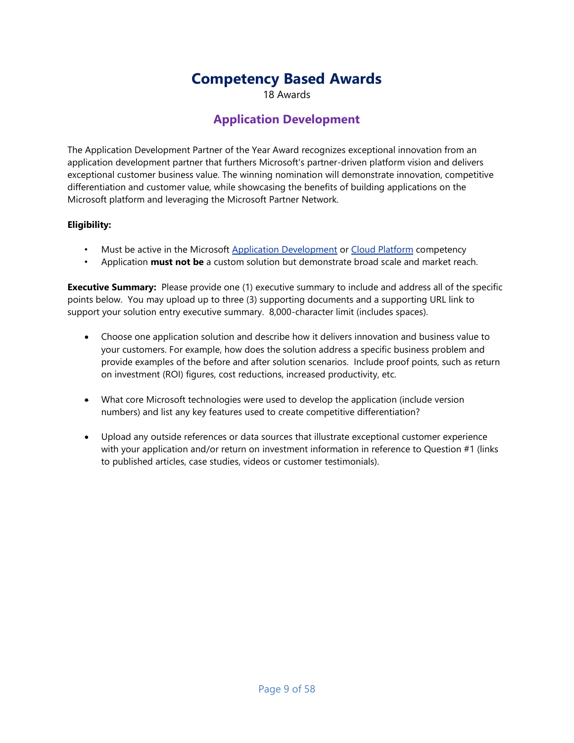# **Competency Based Awards**

18 Awards

### **Application Development**

<span id="page-8-1"></span><span id="page-8-0"></span>The Application Development Partner of the Year Award recognizes exceptional innovation from an application development partner that furthers Microsoft's partner-driven platform vision and delivers exceptional customer business value. The winning nomination will demonstrate innovation, competitive differentiation and customer value, while showcasing the benefits of building applications on the Microsoft platform and leveraging the Microsoft Partner Network.

#### **Eligibility:**

- Must be active in the Microsoft [Application Development](https://partner.microsoft.com/en-us/membership/application-development-competency) o[r Cloud Platform](https://partner.microsoft.com/en-us/membership/cloud-platform-competency) competency
- Application **must not be** a custom solution but demonstrate broad scale and market reach.

- Choose one application solution and describe how it delivers innovation and business value to your customers. For example, how does the solution address a specific business problem and provide examples of the before and after solution scenarios. Include proof points, such as return on investment (ROI) figures, cost reductions, increased productivity, etc.
- What core Microsoft technologies were used to develop the application (include version numbers) and list any key features used to create competitive differentiation?
- Upload any outside references or data sources that illustrate exceptional customer experience with your application and/or return on investment information in reference to Question #1 (links to published articles, case studies, videos or customer testimonials).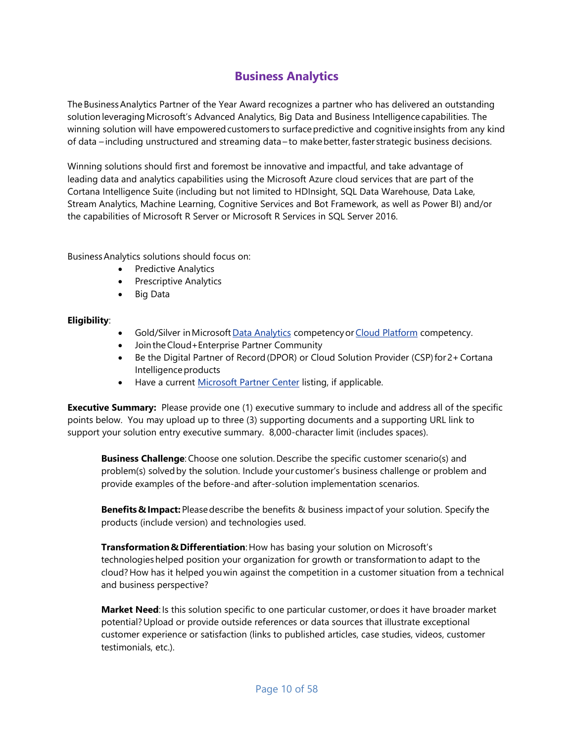# **Business Analytics**

<span id="page-9-0"></span>The Business Analytics Partner of the Year Award recognizes a partner who has delivered an outstanding solution leveraging Microsoft's Advanced Analytics, Big Data and Business Intelligence capabilities. The winning solution will have empowered customers to surface predictive and cognitive insights from any kind of data – including unstructured and streaming data – to make better, faster strategic business decisions.

Winning solutions should first and foremost be innovative and impactful, and take advantage of leading data and analytics capabilities using the Microsoft Azure cloud services that are part of the Cortana Intelligence Suite (including but not limited to HDInsight, SQL Data Warehouse, Data Lake, Stream Analytics, Machine Learning, Cognitive Services and Bot Framework, as well as Power BI) and/or the capabilities of Microsoft R Server or Microsoft R Services in SQL Server 2016.

Business Analytics solutions should focus on:   

- Predictive Analytics
- Prescriptive Analytics
- Big Data

#### **Eligibility**:

- Gold/Silver in Microsoft [Data Analytics](https://partner.microsoft.com/en-us/membership/data-analytics-competency) competency or [Cloud Platform](https://partner.microsoft.com/en-us/membership/cloud-platform-competency) competency.
- Join the Cloud+Enterprise Partner Community
- Be the Digital Partner of Record (DPOR) or Cloud Solution Provider (CSP) for 2+ Cortana Intelligence products
- Have a current [Microsoft Partner Center](https://partnercenter.microsoft.com/en-us/partner/home) listing, if applicable.

**Executive Summary:** Please provide one (1) executive summary to include and address all of the specific points below. You may upload up to three (3) supporting documents and a supporting URL link to support your solution entry executive summary. 8,000-character limit (includes spaces).

**Business Challenge**: Choose one solution. Describe the specific customer scenario(s) and problem(s) solved by the solution. Include your customer's business challenge or problem and provide examples of the before-and after-solution implementation scenarios. 

**Benefits & Impact:** Please describe the benefits & business impact of your solution. Specify the products (include version) and technologies used.   

**Transformation & Differentiation**: How has basing your solution on Microsoft's technologies helped position your organization for growth or transformation to adapt to the cloud? How has it helped you win against the competition in a customer situation from a technical and business perspective? 

**Market Need**: Is this solution specific to one particular customer, or does it have broader market potential? Upload or provide outside references or data sources that illustrate exceptional customer experience or satisfaction (links to published articles, case studies, videos, customer testimonials, etc.).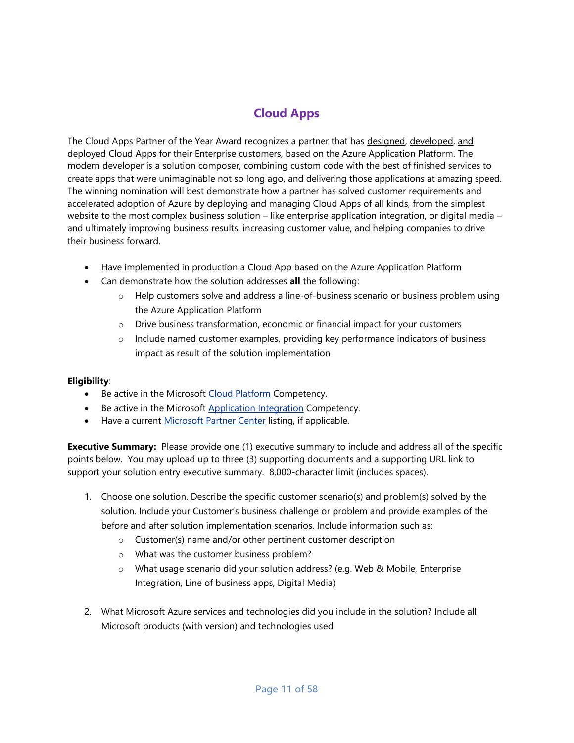# **Cloud Apps**

<span id="page-10-0"></span>The Cloud Apps Partner of the Year Award recognizes a partner that has designed, developed, and deployed Cloud Apps for their Enterprise customers, based on the Azure Application Platform. The modern developer is a solution composer, combining custom code with the best of finished services to create apps that were unimaginable not so long ago, and delivering those applications at amazing speed. The winning nomination will best demonstrate how a partner has solved customer requirements and accelerated adoption of Azure by deploying and managing Cloud Apps of all kinds, from the simplest website to the most complex business solution – like enterprise application integration, or digital media – and ultimately improving business results, increasing customer value, and helping companies to drive their business forward.

- Have implemented in production a Cloud App based on the Azure Application Platform
- Can demonstrate how the solution addresses **all** the following:
	- o Help customers solve and address a line-of-business scenario or business problem using the Azure Application Platform
	- o Drive business transformation, economic or financial impact for your customers
	- o Include named customer examples, providing key performance indicators of business impact as result of the solution implementation

#### **Eligibility**:

- Be active in the Microsoft [Cloud Platform](https://partner.microsoft.com/en-us/membership/cloud-platform-competency) Competency.
- Be active in the Microsoft [Application Integration](https://partner.microsoft.com/en-us/membership/application-integration-competency) Competency.
- Have a current [Microsoft Partner Center](https://partnercenter.microsoft.com/en-us/partner/home) listing, if applicable.

- 1. Choose one solution. Describe the specific customer scenario(s) and problem(s) solved by the solution. Include your Customer's business challenge or problem and provide examples of the before and after solution implementation scenarios. Include information such as:
	- o Customer(s) name and/or other pertinent customer description
	- o What was the customer business problem?
	- o What usage scenario did your solution address? (e.g. Web & Mobile, Enterprise Integration, Line of business apps, Digital Media)
- 2. What Microsoft Azure services and technologies did you include in the solution? Include all Microsoft products (with version) and technologies used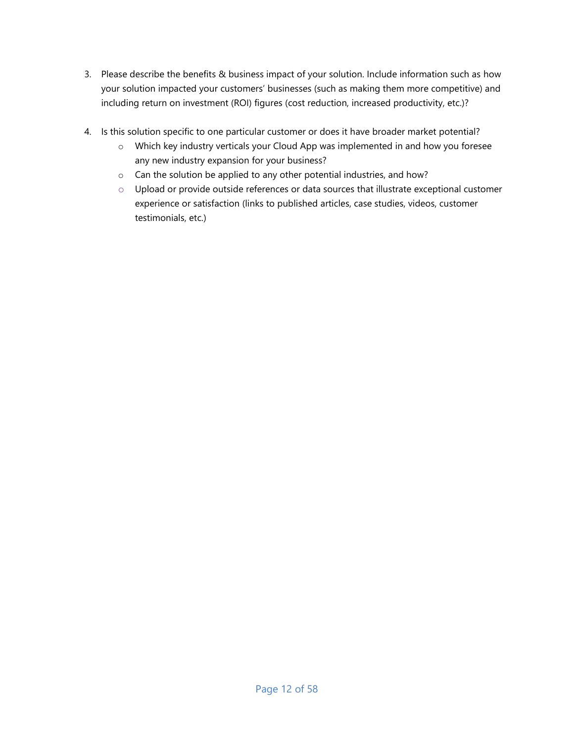- 3. Please describe the benefits & business impact of your solution. Include information such as how your solution impacted your customers' businesses (such as making them more competitive) and including return on investment (ROI) figures (cost reduction, increased productivity, etc.)?
- 4. Is this solution specific to one particular customer or does it have broader market potential?
	- o Which key industry verticals your Cloud App was implemented in and how you foresee any new industry expansion for your business?
	- o Can the solution be applied to any other potential industries, and how?
	- $\circ$  Upload or provide outside references or data sources that illustrate exceptional customer experience or satisfaction (links to published articles, case studies, videos, customer testimonials, etc.)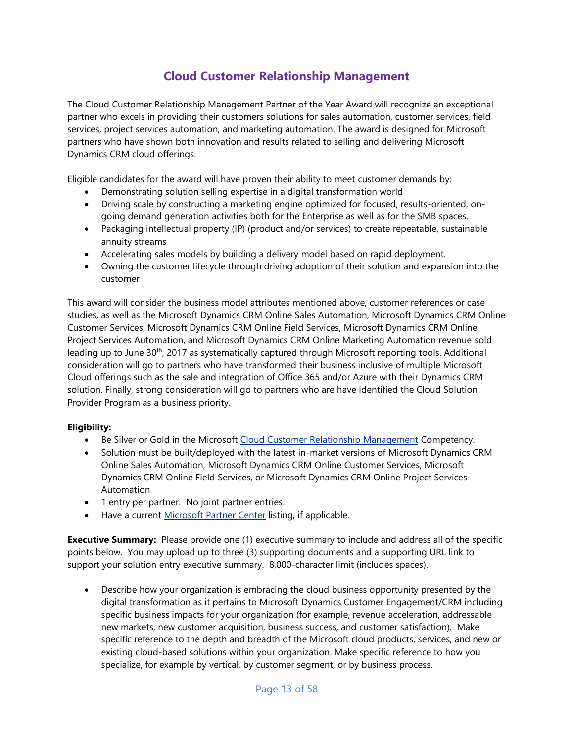# **Cloud Customer Relationship Management**

<span id="page-12-0"></span>The Cloud Customer Relationship Management Partner of the Year Award will recognize an exceptional partner who excels in providing their customers solutions for sales automation, customer services, field services, project services automation, and marketing automation. The award is designed for Microsoft partners who have shown both innovation and results related to selling and delivering Microsoft Dynamics CRM cloud offerings.

Eligible candidates for the award will have proven their ability to meet customer demands by:

- Demonstrating solution selling expertise in a digital transformation world
- Driving scale by constructing a marketing engine optimized for focused, results-oriented, ongoing demand generation activities both for the Enterprise as well as for the SMB spaces.
- Packaging intellectual property (IP) (product and/or services) to create repeatable, sustainable annuity streams
- Accelerating sales models by building a delivery model based on rapid deployment.
- Owning the customer lifecycle through driving adoption of their solution and expansion into the customer

This award will consider the business model attributes mentioned above, customer references or case studies, as well as the Microsoft Dynamics CRM Online Sales Automation, Microsoft Dynamics CRM Online Customer Services, Microsoft Dynamics CRM Online Field Services, Microsoft Dynamics CRM Online Project Services Automation, and Microsoft Dynamics CRM Online Marketing Automation revenue sold leading up to June 30<sup>th</sup>, 2017 as systematically captured through Microsoft reporting tools. Additional consideration will go to partners who have transformed their business inclusive of multiple Microsoft Cloud offerings such as the sale and integration of Office 365 and/or Azure with their Dynamics CRM solution. Finally, strong consideration will go to partners who are have identified the Cloud Solution Provider Program as a business priority.

#### **Eligibility:**

- Be Silver or Gold in the Microsoft [Cloud Customer Relationship Management](https://partner.microsoft.com/en-us/membership/cloud-customer-relationship-management-competency) Competency.
- Solution must be built/deployed with the latest in-market versions of Microsoft Dynamics CRM Online Sales Automation, Microsoft Dynamics CRM Online Customer Services, Microsoft Dynamics CRM Online Field Services, or Microsoft Dynamics CRM Online Project Services Automation
- 1 entry per partner. No joint partner entries.
- Have a current [Microsoft Partner Center](https://partnercenter.microsoft.com/en-us/partner/home) listing, if applicable.

**Executive Summary:** Please provide one (1) executive summary to include and address all of the specific points below. You may upload up to three (3) supporting documents and a supporting URL link to support your solution entry executive summary. 8,000-character limit (includes spaces).

 Describe how your organization is embracing the cloud business opportunity presented by the digital transformation as it pertains to Microsoft Dynamics Customer Engagement/CRM including specific business impacts for your organization (for example, revenue acceleration, addressable new markets, new customer acquisition, business success, and customer satisfaction). Make specific reference to the depth and breadth of the Microsoft cloud products, services, and new or existing cloud-based solutions within your organization. Make specific reference to how you specialize, for example by vertical, by customer segment, or by business process.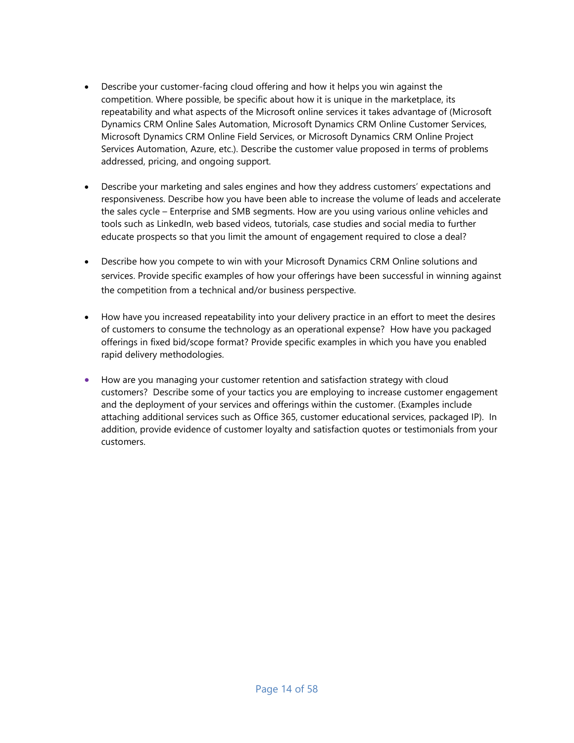- Describe your customer-facing cloud offering and how it helps you win against the competition. Where possible, be specific about how it is unique in the marketplace, its repeatability and what aspects of the Microsoft online services it takes advantage of (Microsoft Dynamics CRM Online Sales Automation, Microsoft Dynamics CRM Online Customer Services, Microsoft Dynamics CRM Online Field Services, or Microsoft Dynamics CRM Online Project Services Automation, Azure, etc.). Describe the customer value proposed in terms of problems addressed, pricing, and ongoing support.
- Describe your marketing and sales engines and how they address customers' expectations and responsiveness. Describe how you have been able to increase the volume of leads and accelerate the sales cycle – Enterprise and SMB segments. How are you using various online vehicles and tools such as LinkedIn, web based videos, tutorials, case studies and social media to further educate prospects so that you limit the amount of engagement required to close a deal?
- Describe how you compete to win with your Microsoft Dynamics CRM Online solutions and services. Provide specific examples of how your offerings have been successful in winning against the competition from a technical and/or business perspective.
- How have you increased repeatability into your delivery practice in an effort to meet the desires of customers to consume the technology as an operational expense? How have you packaged offerings in fixed bid/scope format? Provide specific examples in which you have you enabled rapid delivery methodologies.
- How are you managing your customer retention and satisfaction strategy with cloud customers? Describe some of your tactics you are employing to increase customer engagement and the deployment of your services and offerings within the customer. (Examples include attaching additional services such as Office 365, customer educational services, packaged IP). In addition, provide evidence of customer loyalty and satisfaction quotes or testimonials from your customers.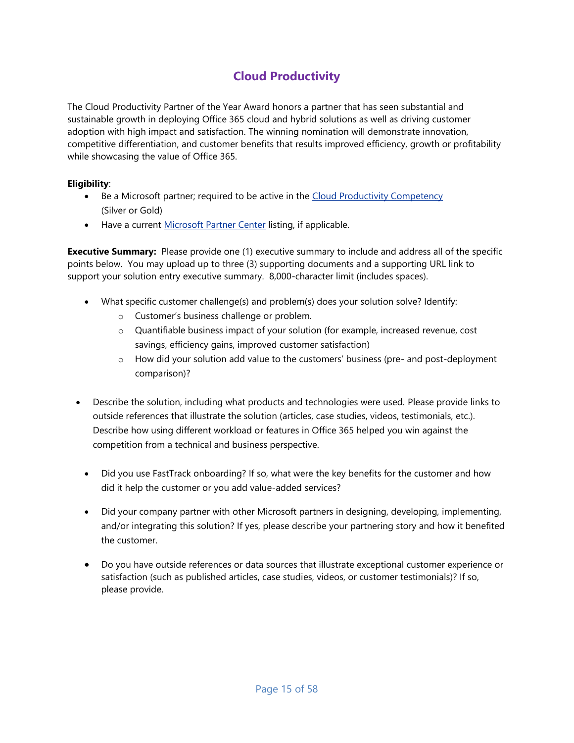# **Cloud Productivity**

<span id="page-14-0"></span>The Cloud Productivity Partner of the Year Award honors a partner that has seen substantial and sustainable growth in deploying Office 365 cloud and hybrid solutions as well as driving customer adoption with high impact and satisfaction. The winning nomination will demonstrate innovation, competitive differentiation, and customer benefits that results improved efficiency, growth or profitability while showcasing the value of Office 365.

#### **Eligibility**:

- Be a Microsoft partner; required to be active in the [Cloud Productivity Competency](https://mspartner.microsoft.com/en/us/pages/membership/cloud-productivity-competency.aspx) (Silver or Gold)
- Have a current [Microsoft Partner Center](https://partnercenter.microsoft.com/en-us/partner/home) listing, if applicable.

- What specific customer challenge(s) and problem(s) does your solution solve? Identify:
	- o Customer's business challenge or problem.
	- o Quantifiable business impact of your solution (for example, increased revenue, cost savings, efficiency gains, improved customer satisfaction)
	- o How did your solution add value to the customers' business (pre- and post-deployment comparison)?
- Describe the solution, including what products and technologies were used. Please provide links to outside references that illustrate the solution (articles, case studies, videos, testimonials, etc.). Describe how using different workload or features in Office 365 helped you win against the competition from a technical and business perspective.
	- Did you use FastTrack onboarding? If so, what were the key benefits for the customer and how did it help the customer or you add value-added services?
	- Did your company partner with other Microsoft partners in designing, developing, implementing, and/or integrating this solution? If yes, please describe your partnering story and how it benefited the customer.
	- Do you have outside references or data sources that illustrate exceptional customer experience or satisfaction (such as published articles, case studies, videos, or customer testimonials)? If so, please provide.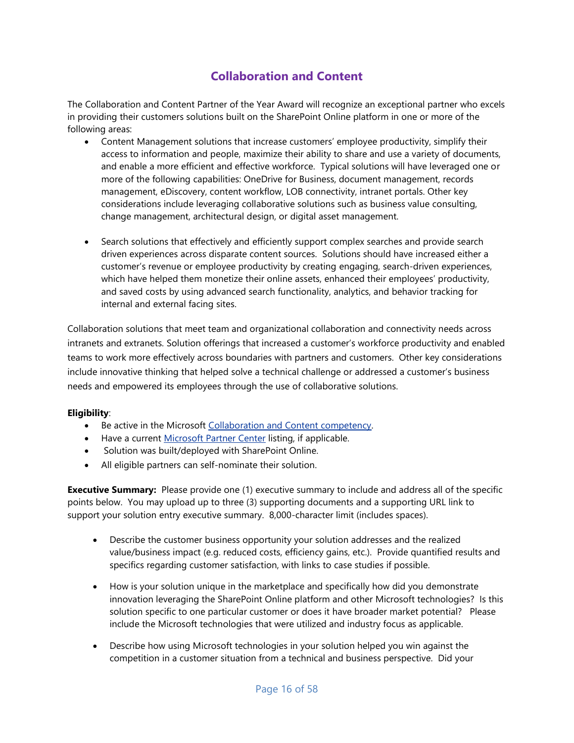# **Collaboration and Content**

<span id="page-15-0"></span>The Collaboration and Content Partner of the Year Award will recognize an exceptional partner who excels in providing their customers solutions built on the SharePoint Online platform in one or more of the following areas:

- Content Management solutions that increase customers' employee productivity, simplify their access to information and people, maximize their ability to share and use a variety of documents, and enable a more efficient and effective workforce. Typical solutions will have leveraged one or more of the following capabilities: OneDrive for Business, document management, records management, eDiscovery, content workflow, LOB connectivity, intranet portals. Other key considerations include leveraging collaborative solutions such as business value consulting, change management, architectural design, or digital asset management.
- Search solutions that effectively and efficiently support complex searches and provide search driven experiences across disparate content sources. Solutions should have increased either a customer's revenue or employee productivity by creating engaging, search-driven experiences, which have helped them monetize their online assets, enhanced their employees' productivity, and saved costs by using advanced search functionality, analytics, and behavior tracking for internal and external facing sites.

Collaboration solutions that meet team and organizational collaboration and connectivity needs across intranets and extranets. Solution offerings that increased a customer's workforce productivity and enabled teams to work more effectively across boundaries with partners and customers. Other key considerations include innovative thinking that helped solve a technical challenge or addressed a customer's business needs and empowered its employees through the use of collaborative solutions.

#### **Eligibility**:

- Be active in the Microsoft [Collaboration and Content competency.](https://mspartner.microsoft.com/en/us/Pages/Membership/collaboration-and-content-competency.aspx)
- Have a current [Microsoft Partner Center](https://partnercenter.microsoft.com/en-us/partner/home) listing, if applicable.
- Solution was built/deployed with SharePoint Online.
- All eligible partners can self-nominate their solution.

- Describe the customer business opportunity your solution addresses and the realized value/business impact (e.g. reduced costs, efficiency gains, etc.). Provide quantified results and specifics regarding customer satisfaction, with links to case studies if possible.
- How is your solution unique in the marketplace and specifically how did you demonstrate innovation leveraging the SharePoint Online platform and other Microsoft technologies? Is this solution specific to one particular customer or does it have broader market potential? Please include the Microsoft technologies that were utilized and industry focus as applicable.
- Describe how using Microsoft technologies in your solution helped you win against the competition in a customer situation from a technical and business perspective. Did your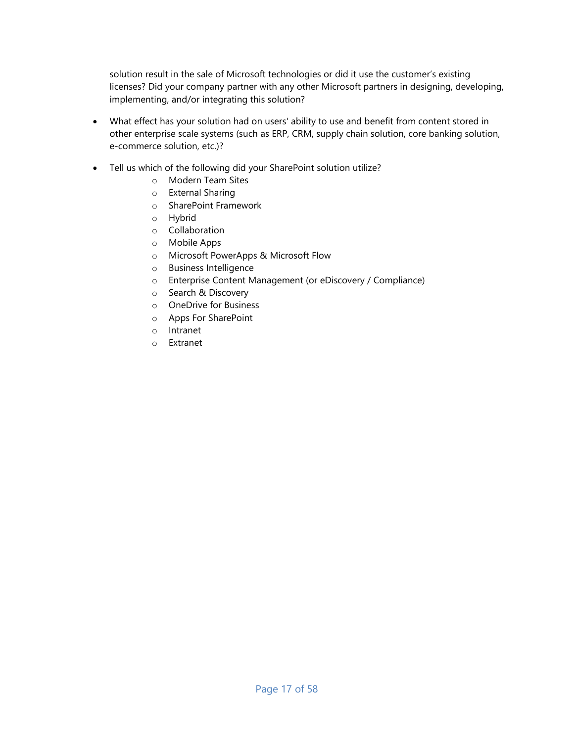solution result in the sale of Microsoft technologies or did it use the customer's existing licenses? Did your company partner with any other Microsoft partners in designing, developing, implementing, and/or integrating this solution?

- What effect has your solution had on users' ability to use and benefit from content stored in other enterprise scale systems (such as ERP, CRM, supply chain solution, core banking solution, e-commerce solution, etc.)?
- Tell us which of the following did your SharePoint solution utilize?
	- o Modern Team Sites
	- o External Sharing
	- o SharePoint Framework
	- o Hybrid
	- o Collaboration
	- o Mobile Apps
	- o Microsoft PowerApps & Microsoft Flow
	- o Business Intelligence
	- o Enterprise Content Management (or eDiscovery / Compliance)
	- o Search & Discovery
	- o OneDrive for Business
	- o Apps For SharePoint
	- o Intranet
	- o Extranet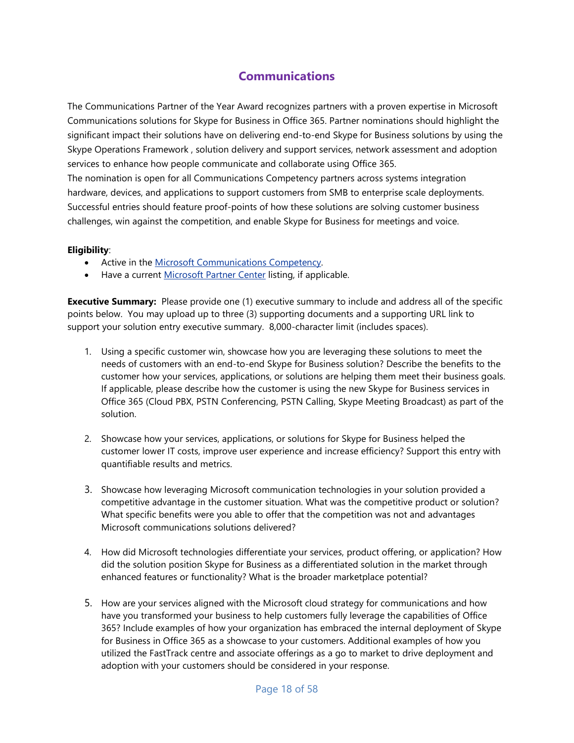# **Communications**

<span id="page-17-0"></span>The Communications Partner of the Year Award recognizes partners with a proven expertise in Microsoft Communications solutions for Skype for Business in Office 365. Partner nominations should highlight the significant impact their solutions have on delivering end-to-end Skype for Business solutions by using the Skype Operations Framework , solution delivery and support services, network assessment and adoption services to enhance how people communicate and collaborate using Office 365.

The nomination is open for all Communications Competency partners across systems integration hardware, devices, and applications to support customers from SMB to enterprise scale deployments. Successful entries should feature proof-points of how these solutions are solving customer business challenges, win against the competition, and enable Skype for Business for meetings and voice.

#### **Eligibility**:

- Active in the [Microsoft Communications Competency.](https://partner.microsoft.com/en-US/membership/communications-competency)
- Have a current [Microsoft Partner Center](https://partnercenter.microsoft.com/en-us/partner/home) listing, if applicable.

- 1. Using a specific customer win, showcase how you are leveraging these solutions to meet the needs of customers with an end-to-end Skype for Business solution? Describe the benefits to the customer how your services, applications, or solutions are helping them meet their business goals. If applicable, please describe how the customer is using the new Skype for Business services in Office 365 (Cloud PBX, PSTN Conferencing, PSTN Calling, Skype Meeting Broadcast) as part of the solution.
- 2. Showcase how your services, applications, or solutions for Skype for Business helped the customer lower IT costs, improve user experience and increase efficiency? Support this entry with quantifiable results and metrics.
- 3. Showcase how leveraging Microsoft communication technologies in your solution provided a competitive advantage in the customer situation. What was the competitive product or solution? What specific benefits were you able to offer that the competition was not and advantages Microsoft communications solutions delivered?
- 4. How did Microsoft technologies differentiate your services, product offering, or application? How did the solution position Skype for Business as a differentiated solution in the market through enhanced features or functionality? What is the broader marketplace potential?
- 5. How are your services aligned with the Microsoft cloud strategy for communications and how have you transformed your business to help customers fully leverage the capabilities of Office 365? Include examples of how your organization has embraced the internal deployment of Skype for Business in Office 365 as a showcase to your customers. Additional examples of how you utilized the FastTrack centre and associate offerings as a go to market to drive deployment and adoption with your customers should be considered in your response.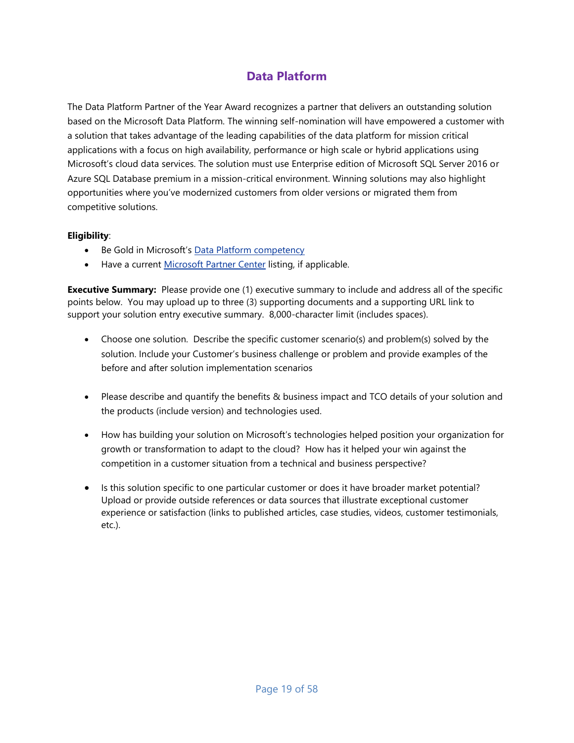# **Data Platform**

<span id="page-18-0"></span>The Data Platform Partner of the Year Award recognizes a partner that delivers an outstanding solution based on the Microsoft Data Platform. The winning self-nomination will have empowered a customer with a solution that takes advantage of the leading capabilities of the data platform for mission critical applications with a focus on high availability, performance or high scale or hybrid applications using Microsoft's cloud data services. The solution must use Enterprise edition of Microsoft SQL Server 2016 or Azure SQL Database premium in a mission-critical environment. Winning solutions may also highlight opportunities where you've modernized customers from older versions or migrated them from competitive solutions.

#### **Eligibility**:

- Be Gold in Microsoft's [Data Platform competency](https://partner.microsoft.com/en-us/membership/data-platform-competency)
- Have a current [Microsoft Partner Center](https://partnercenter.microsoft.com/en-us/partner/home) listing, if applicable.

- Choose one solution. Describe the specific customer scenario(s) and problem(s) solved by the solution. Include your Customer's business challenge or problem and provide examples of the before and after solution implementation scenarios
- Please describe and quantify the benefits & business impact and TCO details of your solution and the products (include version) and technologies used.
- How has building your solution on Microsoft's technologies helped position your organization for growth or transformation to adapt to the cloud? How has it helped your win against the competition in a customer situation from a technical and business perspective?
- Is this solution specific to one particular customer or does it have broader market potential? Upload or provide outside references or data sources that illustrate exceptional customer experience or satisfaction (links to published articles, case studies, videos, customer testimonials, etc.).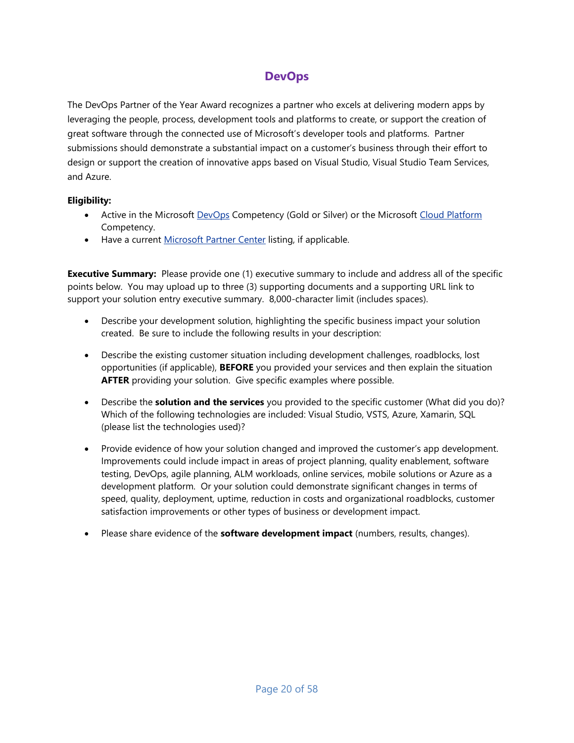# **DevOps**

<span id="page-19-0"></span>The DevOps Partner of the Year Award recognizes a partner who excels at delivering modern apps by leveraging the people, process, development tools and platforms to create, or support the creation of great software through the connected use of Microsoft's developer tools and platforms. Partner submissions should demonstrate a substantial impact on a customer's business through their effort to design or support the creation of innovative apps based on Visual Studio, Visual Studio Team Services, and Azure.

#### **Eligibility:**

- Active in the Microsoft [DevOps](https://partner.microsoft.com/en-us/membership/devops-competency) Competency (Gold or Silver) or the Microsoft [Cloud Platform](https://partner.microsoft.com/en-us/membership/cloud-platform-competency) Competency.
- Have a current [Microsoft Partner Center](https://partnercenter.microsoft.com/en-us/partner/home) listing, if applicable.

- Describe your development solution, highlighting the specific business impact your solution created. Be sure to include the following results in your description:
- Describe the existing customer situation including development challenges, roadblocks, lost opportunities (if applicable), **BEFORE** you provided your services and then explain the situation **AFTER** providing your solution. Give specific examples where possible.
- Describe the **solution and the services** you provided to the specific customer (What did you do)? Which of the following technologies are included: Visual Studio, VSTS, Azure, Xamarin, SQL (please list the technologies used)?
- Provide evidence of how your solution changed and improved the customer's app development. Improvements could include impact in areas of project planning, quality enablement, software testing, DevOps, agile planning, ALM workloads, online services, mobile solutions or Azure as a development platform. Or your solution could demonstrate significant changes in terms of speed, quality, deployment, uptime, reduction in costs and organizational roadblocks, customer satisfaction improvements or other types of business or development impact.
- Please share evidence of the **software development impact** (numbers, results, changes).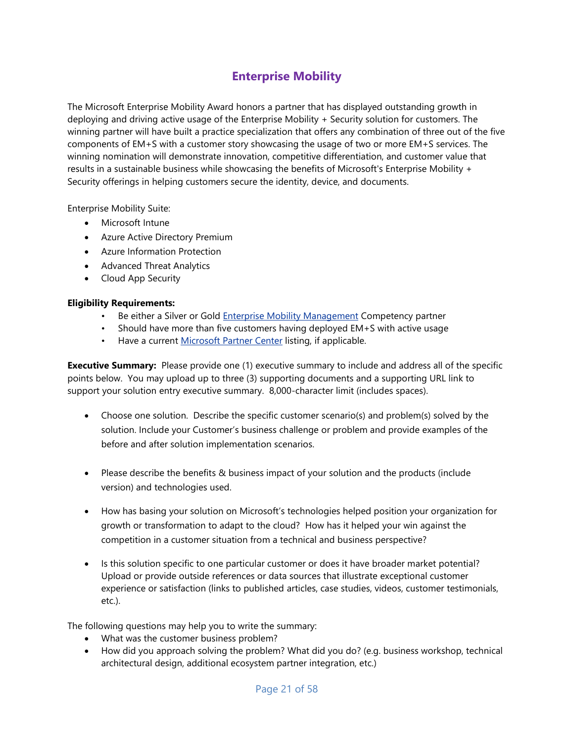# **Enterprise Mobility**

<span id="page-20-0"></span>The Microsoft Enterprise Mobility Award honors a partner that has displayed outstanding growth in deploying and driving active usage of the Enterprise Mobility + Security solution for customers. The winning partner will have built a practice specialization that offers any combination of three out of the five components of EM+S with a customer story showcasing the usage of two or more EM+S services. The winning nomination will demonstrate innovation, competitive differentiation, and customer value that results in a sustainable business while showcasing the benefits of Microsoft's Enterprise Mobility + Security offerings in helping customers secure the identity, device, and documents.

Enterprise Mobility Suite:

- Microsoft Intune
- Azure Active Directory Premium
- Azure Information Protection
- Advanced Threat Analytics
- Cloud App Security

#### **Eligibility Requirements:**

- Be either a Silver or Gold [Enterprise Mobility Management](https://partner.microsoft.com/en-us/membership/enterprise-mobility-management-competency) Competency partner
- Should have more than five customers having deployed EM+S with active usage
- Have a current [Microsoft Partner Center](https://partnercenter.microsoft.com/en-us/partner/home) listing, if applicable.

**Executive Summary:** Please provide one (1) executive summary to include and address all of the specific points below. You may upload up to three (3) supporting documents and a supporting URL link to support your solution entry executive summary. 8,000-character limit (includes spaces).

- Choose one solution. Describe the specific customer scenario(s) and problem(s) solved by the solution. Include your Customer's business challenge or problem and provide examples of the before and after solution implementation scenarios.
- Please describe the benefits & business impact of your solution and the products (include version) and technologies used.
- How has basing your solution on Microsoft's technologies helped position your organization for growth or transformation to adapt to the cloud? How has it helped your win against the competition in a customer situation from a technical and business perspective?
- Is this solution specific to one particular customer or does it have broader market potential? Upload or provide outside references or data sources that illustrate exceptional customer experience or satisfaction (links to published articles, case studies, videos, customer testimonials, etc.).

The following questions may help you to write the summary:

- What was the customer business problem?
- How did you approach solving the problem? What did you do? (e.g. business workshop, technical architectural design, additional ecosystem partner integration, etc.)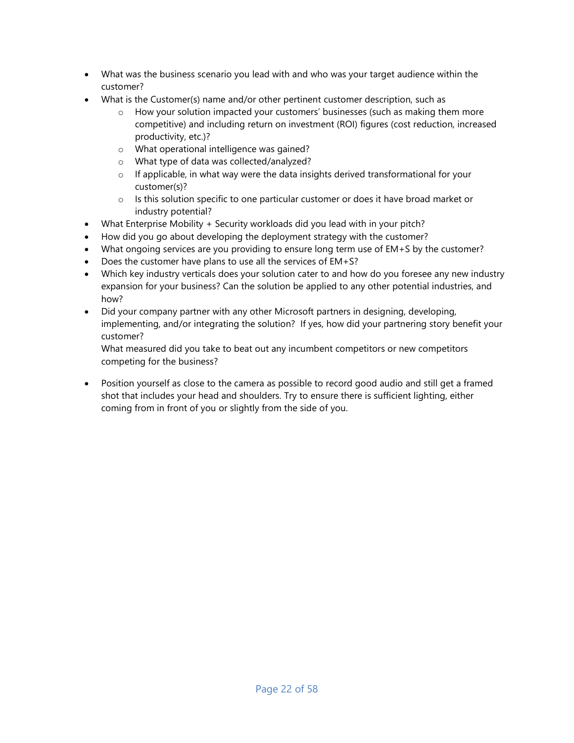- What was the business scenario you lead with and who was your target audience within the customer?
- What is the Customer(s) name and/or other pertinent customer description, such as
	- o How your solution impacted your customers' businesses (such as making them more competitive) and including return on investment (ROI) figures (cost reduction, increased productivity, etc.)?
	- o What operational intelligence was gained?
	- o What type of data was collected/analyzed?
	- $\circ$  If applicable, in what way were the data insights derived transformational for your customer(s)?
	- $\circ$  Is this solution specific to one particular customer or does it have broad market or industry potential?
- What Enterprise Mobility + Security workloads did you lead with in your pitch?
- How did you go about developing the deployment strategy with the customer?
- What ongoing services are you providing to ensure long term use of EM+S by the customer?
- Does the customer have plans to use all the services of EM+S?
- Which key industry verticals does your solution cater to and how do you foresee any new industry expansion for your business? Can the solution be applied to any other potential industries, and how?
- Did your company partner with any other Microsoft partners in designing, developing, implementing, and/or integrating the solution? If yes, how did your partnering story benefit your customer?

What measured did you take to beat out any incumbent competitors or new competitors competing for the business?

 Position yourself as close to the camera as possible to record good audio and still get a framed shot that includes your head and shoulders. Try to ensure there is sufficient lighting, either coming from in front of you or slightly from the side of you.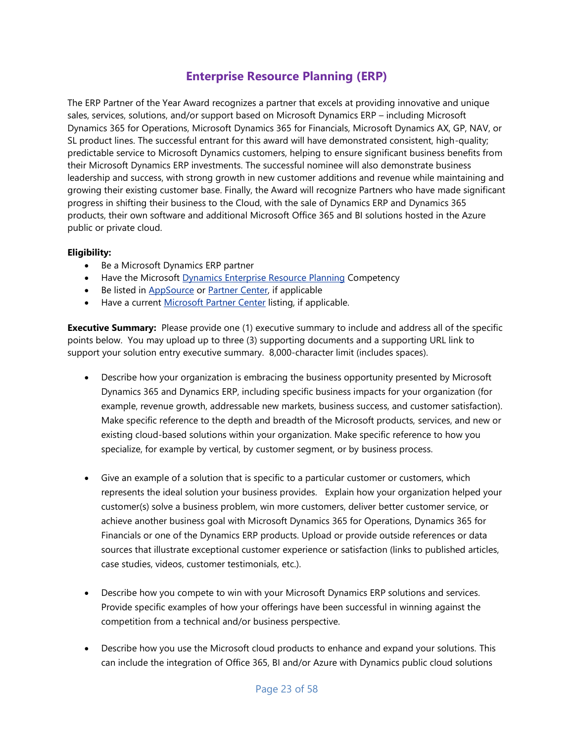### **Enterprise Resource Planning (ERP)**

<span id="page-22-0"></span>The ERP Partner of the Year Award recognizes a partner that excels at providing innovative and unique sales, services, solutions, and/or support based on Microsoft Dynamics ERP – including Microsoft Dynamics 365 for Operations, Microsoft Dynamics 365 for Financials, Microsoft Dynamics AX, GP, NAV, or SL product lines. The successful entrant for this award will have demonstrated consistent, high-quality; predictable service to Microsoft Dynamics customers, helping to ensure significant business benefits from their Microsoft Dynamics ERP investments. The successful nominee will also demonstrate business leadership and success, with strong growth in new customer additions and revenue while maintaining and growing their existing customer base. Finally, the Award will recognize Partners who have made significant progress in shifting their business to the Cloud, with the sale of Dynamics ERP and Dynamics 365 products, their own software and additional Microsoft Office 365 and BI solutions hosted in the Azure public or private cloud.

#### **Eligibility:**

- Be a Microsoft Dynamics ERP partner
- Have the Microsoft [Dynamics Enterprise Resource Planning](https://partner.microsoft.com/en-us/membership/enterprise-resource-planning-competency) Competency
- Be listed in [AppSource](https://appsource.microsoft.com/en-us/partners) or [Partner Center,](https://partnercenter.microsoft.com/en-us/partner/home) if applicable
- Have a current [Microsoft Partner Center](https://partnercenter.microsoft.com/en-us/partner/home) listing, if applicable.

- Describe how your organization is embracing the business opportunity presented by Microsoft Dynamics 365 and Dynamics ERP, including specific business impacts for your organization (for example, revenue growth, addressable new markets, business success, and customer satisfaction). Make specific reference to the depth and breadth of the Microsoft products, services, and new or existing cloud-based solutions within your organization. Make specific reference to how you specialize, for example by vertical, by customer segment, or by business process.
- Give an example of a solution that is specific to a particular customer or customers, which represents the ideal solution your business provides. Explain how your organization helped your customer(s) solve a business problem, win more customers, deliver better customer service, or achieve another business goal with Microsoft Dynamics 365 for Operations, Dynamics 365 for Financials or one of the Dynamics ERP products. Upload or provide outside references or data sources that illustrate exceptional customer experience or satisfaction (links to published articles, case studies, videos, customer testimonials, etc.).
- Describe how you compete to win with your Microsoft Dynamics ERP solutions and services. Provide specific examples of how your offerings have been successful in winning against the competition from a technical and/or business perspective.
- Describe how you use the Microsoft cloud products to enhance and expand your solutions. This can include the integration of Office 365, BI and/or Azure with Dynamics public cloud solutions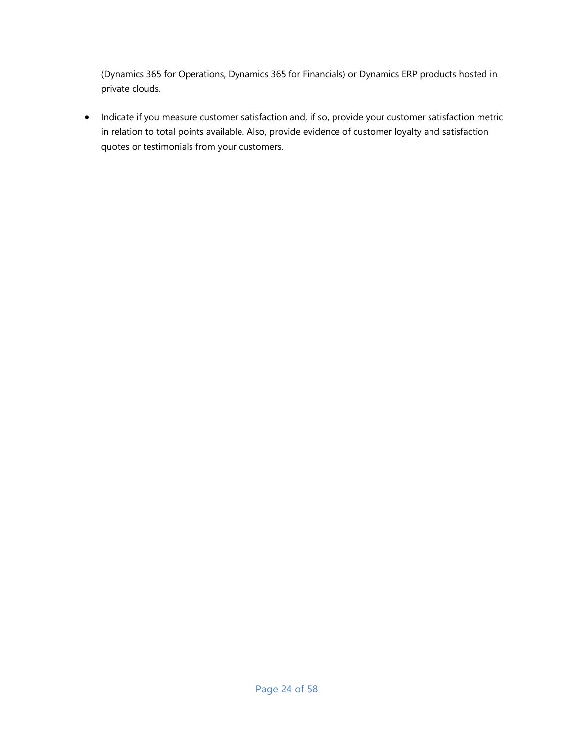(Dynamics 365 for Operations, Dynamics 365 for Financials) or Dynamics ERP products hosted in private clouds.

• Indicate if you measure customer satisfaction and, if so, provide your customer satisfaction metric in relation to total points available. Also, provide evidence of customer loyalty and satisfaction quotes or testimonials from your customers.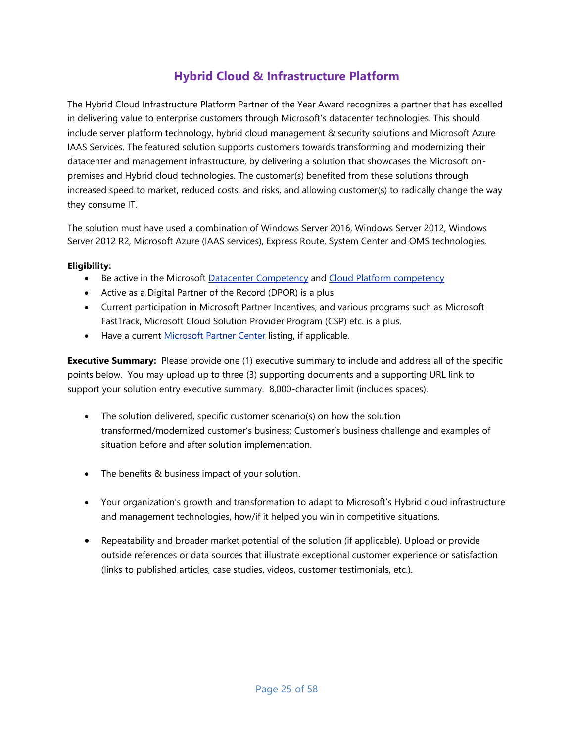# **Hybrid Cloud & Infrastructure Platform**

<span id="page-24-0"></span>The Hybrid Cloud Infrastructure Platform Partner of the Year Award recognizes a partner that has excelled in delivering value to enterprise customers through Microsoft's datacenter technologies. This should include server platform technology, hybrid cloud management & security solutions and Microsoft Azure IAAS Services. The featured solution supports customers towards transforming and modernizing their datacenter and management infrastructure, by delivering a solution that showcases the Microsoft onpremises and Hybrid cloud technologies. The customer(s) benefited from these solutions through increased speed to market, reduced costs, and risks, and allowing customer(s) to radically change the way they consume IT.

The solution must have used a combination of Windows Server 2016, Windows Server 2012, Windows Server 2012 R2, Microsoft Azure (IAAS services), Express Route, System Center and OMS technologies.

#### **Eligibility:**

- Be active in the Microsoft [Datacenter Competency](https://mspartner.microsoft.com/en/us/pages/membership/datacenter-competency.aspx) and [Cloud Platform competency](https://mspartner.microsoft.com/en/us/pages/membership/cloud-platform-competency.aspx)
- Active as a Digital Partner of the Record (DPOR) is a plus
- Current participation in Microsoft Partner Incentives, and various programs such as Microsoft FastTrack, Microsoft Cloud Solution Provider Program (CSP) etc. is a plus.
- Have a current [Microsoft Partner Center](https://partnercenter.microsoft.com/en-us/partner/home) listing, if applicable.

- The solution delivered, specific customer scenario(s) on how the solution transformed/modernized customer's business; Customer's business challenge and examples of situation before and after solution implementation.
- The benefits & business impact of your solution.
- Your organization's growth and transformation to adapt to Microsoft's Hybrid cloud infrastructure and management technologies, how/if it helped you win in competitive situations.
- Repeatability and broader market potential of the solution (if applicable). Upload or provide outside references or data sources that illustrate exceptional customer experience or satisfaction (links to published articles, case studies, videos, customer testimonials, etc.).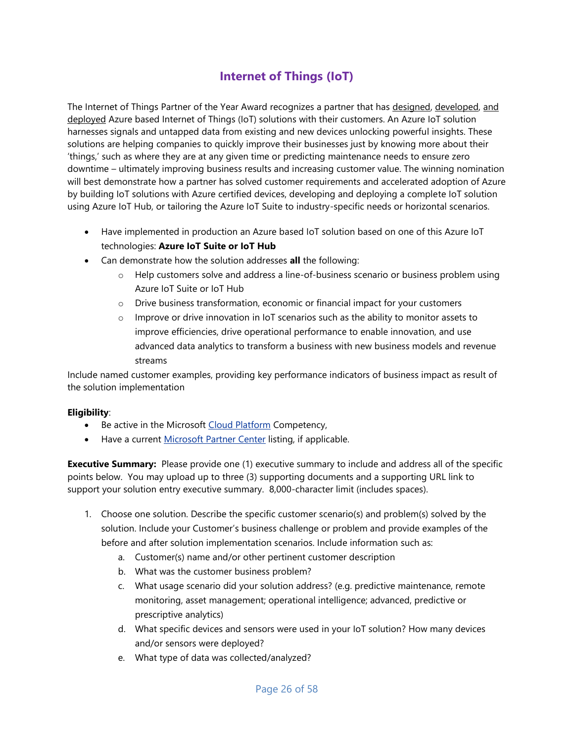# **Internet of Things (IoT)**

<span id="page-25-0"></span>The Internet of Things Partner of the Year Award recognizes a partner that has designed, developed, and deployed Azure based Internet of Things (IoT) solutions with their customers. An Azure IoT solution harnesses signals and untapped data from existing and new devices unlocking powerful insights. These solutions are helping companies to quickly improve their businesses just by knowing more about their 'things,' such as where they are at any given time or predicting maintenance needs to ensure zero downtime – ultimately improving business results and increasing customer value. The winning nomination will best demonstrate how a partner has solved customer requirements and accelerated adoption of Azure by building IoT solutions with Azure certified devices, developing and deploying a complete IoT solution using Azure IoT Hub, or tailoring the Azure IoT Suite to industry-specific needs or horizontal scenarios.

- Have implemented in production an Azure based IoT solution based on one of this Azure IoT technologies: **Azure IoT Suite or IoT Hub**
- Can demonstrate how the solution addresses **all** the following:
	- $\circ$  Help customers solve and address a line-of-business scenario or business problem using Azure IoT Suite or IoT Hub
	- o Drive business transformation, economic or financial impact for your customers
	- $\circ$  Improve or drive innovation in IoT scenarios such as the ability to monitor assets to improve efficiencies, drive operational performance to enable innovation, and use advanced data analytics to transform a business with new business models and revenue streams

Include named customer examples, providing key performance indicators of business impact as result of the solution implementation

#### **Eligibility**:

- Be active in the Microsoft [Cloud Platform](https://partner.microsoft.com/en-US/membership/cloud-platform-competency) Competency,
- Have a current [Microsoft Partner Center](https://partnercenter.microsoft.com/en-us/partner/home) listing, if applicable.

- 1. Choose one solution. Describe the specific customer scenario(s) and problem(s) solved by the solution. Include your Customer's business challenge or problem and provide examples of the before and after solution implementation scenarios. Include information such as:
	- a. Customer(s) name and/or other pertinent customer description
	- b. What was the customer business problem?
	- c. What usage scenario did your solution address? (e.g. predictive maintenance, remote monitoring, asset management; operational intelligence; advanced, predictive or prescriptive analytics)
	- d. What specific devices and sensors were used in your IoT solution? How many devices and/or sensors were deployed?
	- e. What type of data was collected/analyzed?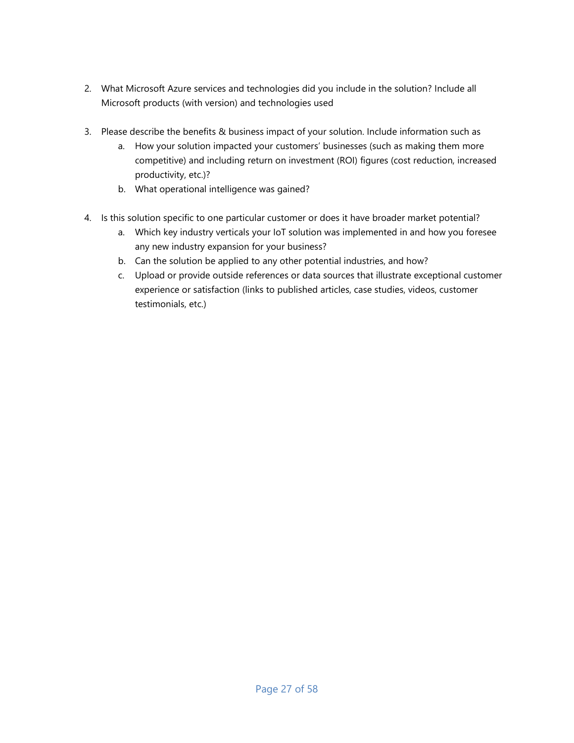- 2. What Microsoft Azure services and technologies did you include in the solution? Include all Microsoft products (with version) and technologies used
- 3. Please describe the benefits & business impact of your solution. Include information such as
	- a. How your solution impacted your customers' businesses (such as making them more competitive) and including return on investment (ROI) figures (cost reduction, increased productivity, etc.)?
	- b. What operational intelligence was gained?
- 4. Is this solution specific to one particular customer or does it have broader market potential?
	- a. Which key industry verticals your IoT solution was implemented in and how you foresee any new industry expansion for your business?
	- b. Can the solution be applied to any other potential industries, and how?
	- c. Upload or provide outside references or data sources that illustrate exceptional customer experience or satisfaction (links to published articles, case studies, videos, customer testimonials, etc.)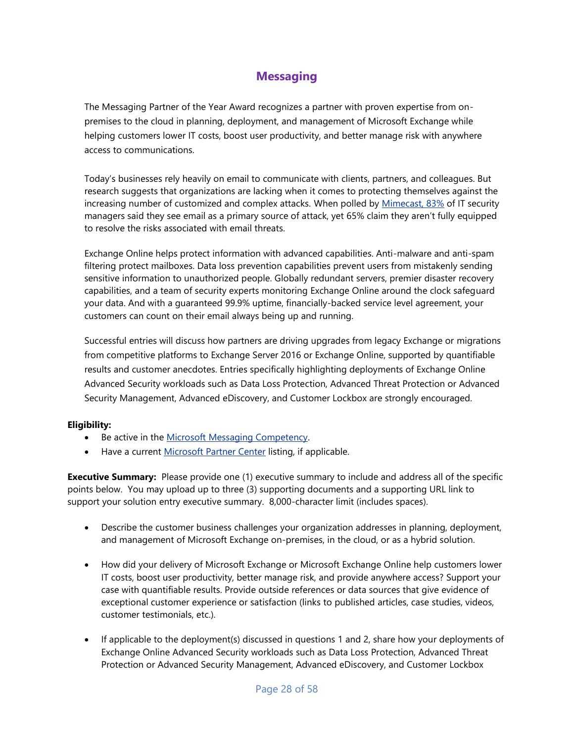# **Messaging**

<span id="page-27-0"></span>The Messaging Partner of the Year Award recognizes a partner with proven expertise from onpremises to the cloud in planning, deployment, and management of Microsoft Exchange while helping customers lower IT costs, boost user productivity, and better manage risk with anywhere access to communications.

Today's businesses rely heavily on email to communicate with clients, partners, and colleagues. But research suggests that organizations are lacking when it comes to protecting themselves against the increasing number of customized and complex attacks. When polled by [Mimecast, 83%](https://www.mimecast.com/resources/analyst-reports/dates/2016/2/email-security-uncovered-mimecast-research-report/) of IT security managers said they see email as a primary source of attack, yet 65% claim they aren't fully equipped to resolve the risks associated with email threats.

Exchange Online helps protect information with advanced capabilities. Anti-malware and anti-spam filtering protect mailboxes. Data loss prevention capabilities prevent users from mistakenly sending sensitive information to unauthorized people. Globally redundant servers, premier disaster recovery capabilities, and a team of security experts monitoring Exchange Online around the clock safeguard your data. And with a guaranteed 99.9% uptime, financially-backed service level agreement, your customers can count on their email always being up and running.

Successful entries will discuss how partners are driving upgrades from legacy Exchange or migrations from competitive platforms to Exchange Server 2016 or Exchange Online, supported by quantifiable results and customer anecdotes. Entries specifically highlighting deployments of Exchange Online Advanced Security workloads such as Data Loss Protection, Advanced Threat Protection or Advanced Security Management, Advanced eDiscovery, and Customer Lockbox are strongly encouraged.

#### **Eligibility:**

- Be active in the Microsoft Messaging Competency.
- Have a current [Microsoft Partner Center](https://partnercenter.microsoft.com/en-us/partner/home) listing, if applicable.

- Describe the customer business challenges your organization addresses in planning, deployment, and management of Microsoft Exchange on-premises, in the cloud, or as a hybrid solution.
- How did your delivery of Microsoft Exchange or Microsoft Exchange Online help customers lower IT costs, boost user productivity, better manage risk, and provide anywhere access? Support your case with quantifiable results. Provide outside references or data sources that give evidence of exceptional customer experience or satisfaction (links to published articles, case studies, videos, customer testimonials, etc.).
- If applicable to the deployment(s) discussed in questions 1 and 2, share how your deployments of Exchange Online Advanced Security workloads such as Data Loss Protection, Advanced Threat Protection or Advanced Security Management, Advanced eDiscovery, and Customer Lockbox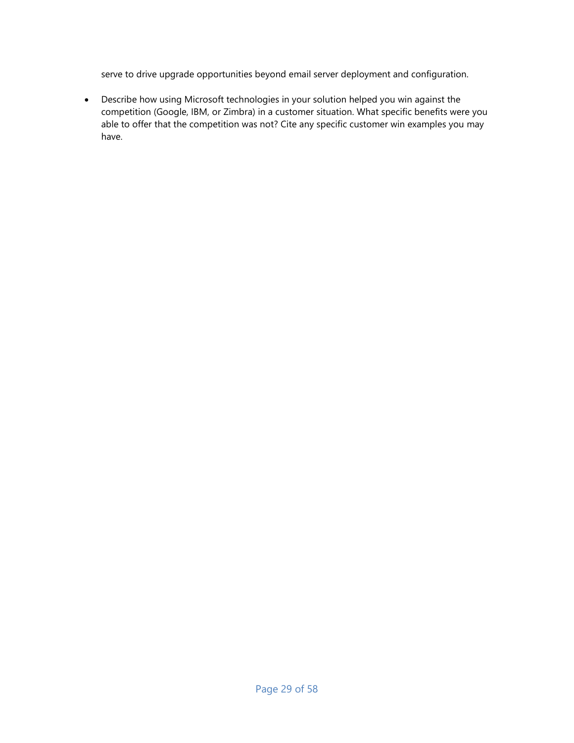serve to drive upgrade opportunities beyond email server deployment and configuration.

 Describe how using Microsoft technologies in your solution helped you win against the competition (Google, IBM, or Zimbra) in a customer situation. What specific benefits were you able to offer that the competition was not? Cite any specific customer win examples you may have.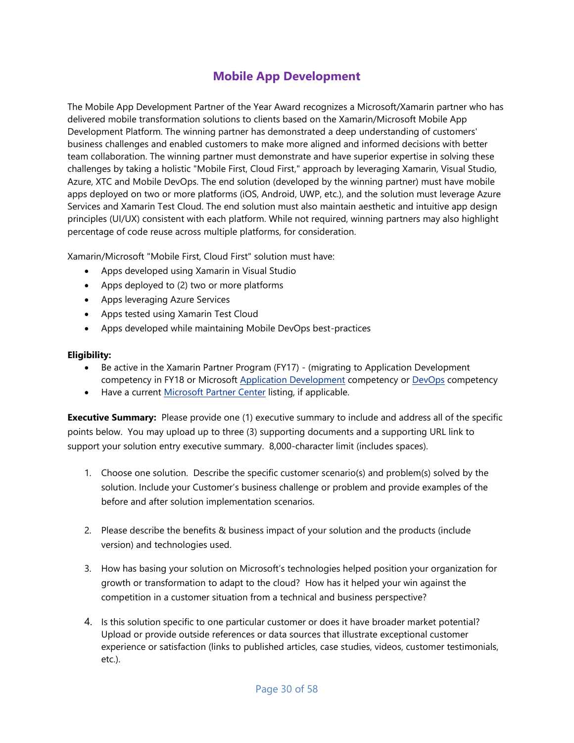# **Mobile App Development**

<span id="page-29-0"></span>The Mobile App Development Partner of the Year Award recognizes a Microsoft/Xamarin partner who has delivered mobile transformation solutions to clients based on the Xamarin/Microsoft Mobile App Development Platform. The winning partner has demonstrated a deep understanding of customers' business challenges and enabled customers to make more aligned and informed decisions with better team collaboration. The winning partner must demonstrate and have superior expertise in solving these challenges by taking a holistic "Mobile First, Cloud First," approach by leveraging Xamarin, Visual Studio, Azure, XTC and Mobile DevOps. The end solution (developed by the winning partner) must have mobile apps deployed on two or more platforms (iOS, Android, UWP, etc.), and the solution must leverage Azure Services and Xamarin Test Cloud. The end solution must also maintain aesthetic and intuitive app design principles (UI/UX) consistent with each platform. While not required, winning partners may also highlight percentage of code reuse across multiple platforms, for consideration.

Xamarin/Microsoft "Mobile First, Cloud First" solution must have:

- Apps developed using Xamarin in Visual Studio
- Apps deployed to (2) two or more platforms
- Apps leveraging Azure Services
- Apps tested using Xamarin Test Cloud
- Apps developed while maintaining Mobile DevOps best-practices

#### **Eligibility:**

- Be active in the Xamarin Partner Program (FY17) (migrating to Application Development competency in FY18 or Microsoft [Application Development](https://partner.microsoft.com/en-us/membership/application-development-competency) competency or [DevOps](https://partner.microsoft.com/en-us/membership/devops-competency) competency
- Have a current [Microsoft Partner Center](https://partnercenter.microsoft.com/en-us/partner/home) listing, if applicable.

- 1. Choose one solution. Describe the specific customer scenario(s) and problem(s) solved by the solution. Include your Customer's business challenge or problem and provide examples of the before and after solution implementation scenarios.
- 2. Please describe the benefits & business impact of your solution and the products (include version) and technologies used.
- 3. How has basing your solution on Microsoft's technologies helped position your organization for growth or transformation to adapt to the cloud? How has it helped your win against the competition in a customer situation from a technical and business perspective?
- 4. Is this solution specific to one particular customer or does it have broader market potential? Upload or provide outside references or data sources that illustrate exceptional customer experience or satisfaction (links to published articles, case studies, videos, customer testimonials, etc.).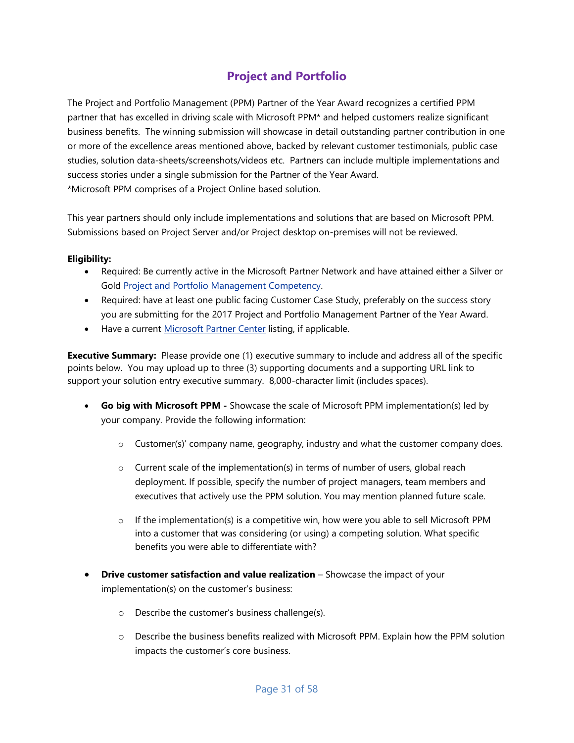# **Project and Portfolio**

<span id="page-30-0"></span>The Project and Portfolio Management (PPM) Partner of the Year Award recognizes a certified PPM partner that has excelled in driving scale with Microsoft PPM\* and helped customers realize significant business benefits. The winning submission will showcase in detail outstanding partner contribution in one or more of the excellence areas mentioned above, backed by relevant customer testimonials, public case studies, solution data-sheets/screenshots/videos etc. Partners can include multiple implementations and success stories under a single submission for the Partner of the Year Award. \*Microsoft PPM comprises of a Project Online based solution.

This year partners should only include implementations and solutions that are based on Microsoft PPM. Submissions based on Project Server and/or Project desktop on-premises will not be reviewed.

#### **Eligibility:**

- Required: Be currently active in the Microsoft Partner Network and have attained either a Silver or Gold [Project and Portfolio Management Competency.](https://mspartner.microsoft.com/en/us/Pages/Membership/project-portfolio-management-competency.aspx)
- Required: have at least one public facing Customer Case Study, preferably on the success story you are submitting for the 2017 Project and Portfolio Management Partner of the Year Award.
- Have a current [Microsoft Partner Center](https://partnercenter.microsoft.com/en-us/partner/home) listing, if applicable.

- **Go big with Microsoft PPM -** Showcase the scale of Microsoft PPM implementation(s) led by your company. Provide the following information:
	- $\circ$  Customer(s)' company name, geography, industry and what the customer company does.
	- $\circ$  Current scale of the implementation(s) in terms of number of users, global reach deployment. If possible, specify the number of project managers, team members and executives that actively use the PPM solution. You may mention planned future scale.
	- $\circ$  If the implementation(s) is a competitive win, how were you able to sell Microsoft PPM into a customer that was considering (or using) a competing solution. What specific benefits you were able to differentiate with?
- **Drive customer satisfaction and value realization** Showcase the impact of your implementation(s) on the customer's business:
	- o Describe the customer's business challenge(s).
	- o Describe the business benefits realized with Microsoft PPM. Explain how the PPM solution impacts the customer's core business.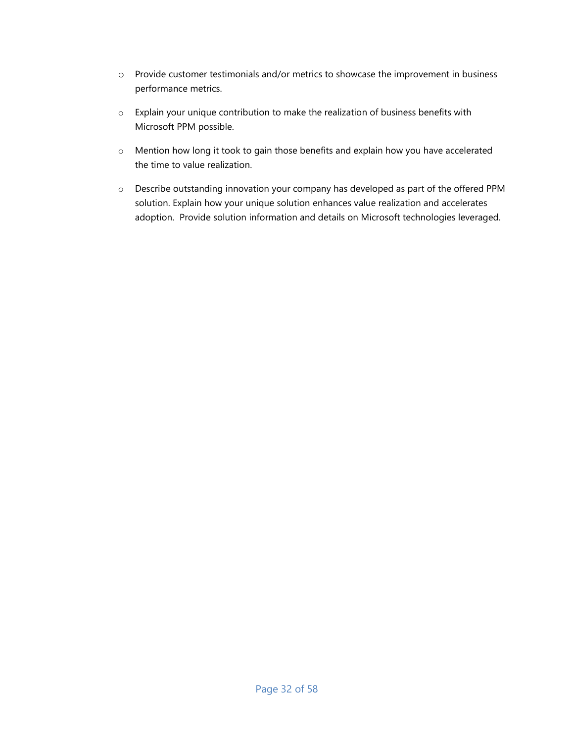- o Provide customer testimonials and/or metrics to showcase the improvement in business performance metrics.
- o Explain your unique contribution to make the realization of business benefits with Microsoft PPM possible.
- o Mention how long it took to gain those benefits and explain how you have accelerated the time to value realization.
- o Describe outstanding innovation your company has developed as part of the offered PPM solution. Explain how your unique solution enhances value realization and accelerates adoption. Provide solution information and details on Microsoft technologies leveraged.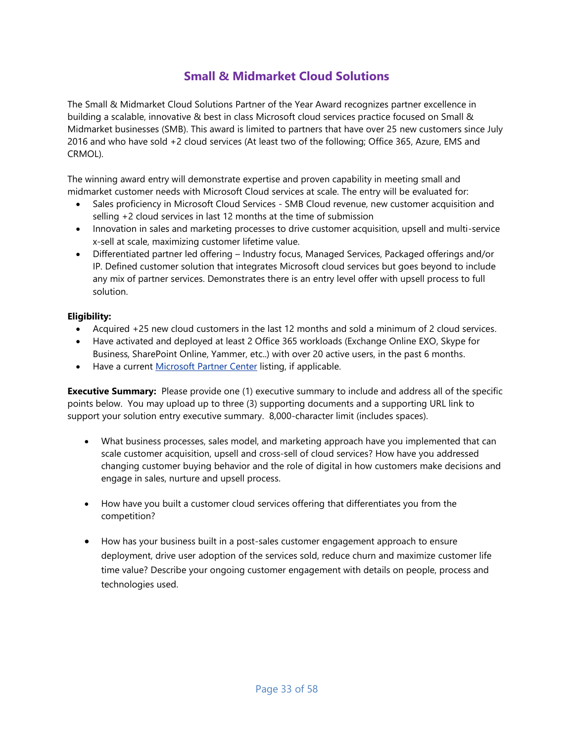# **Small & Midmarket Cloud Solutions**

<span id="page-32-0"></span>The Small & Midmarket Cloud Solutions Partner of the Year Award recognizes partner excellence in building a scalable, innovative & best in class Microsoft cloud services practice focused on Small & Midmarket businesses (SMB). This award is limited to partners that have over 25 new customers since July 2016 and who have sold +2 cloud services (At least two of the following; Office 365, Azure, EMS and CRMOL).

The winning award entry will demonstrate expertise and proven capability in meeting small and midmarket customer needs with Microsoft Cloud services at scale. The entry will be evaluated for:

- Sales proficiency in Microsoft Cloud Services SMB Cloud revenue, new customer acquisition and selling +2 cloud services in last 12 months at the time of submission
- Innovation in sales and marketing processes to drive customer acquisition, upsell and multi-service x-sell at scale, maximizing customer lifetime value.
- Differentiated partner led offering Industry focus, Managed Services, Packaged offerings and/or IP. Defined customer solution that integrates Microsoft cloud services but goes beyond to include any mix of partner services. Demonstrates there is an entry level offer with upsell process to full solution.

#### **Eligibility:**

- Acquired +25 new cloud customers in the last 12 months and sold a minimum of 2 cloud services.
- Have activated and deployed at least 2 Office 365 workloads (Exchange Online EXO, Skype for Business, SharePoint Online, Yammer, etc..) with over 20 active users, in the past 6 months.
- Have a current [Microsoft Partner Center](https://partnercenter.microsoft.com/en-us/partner/home) listing, if applicable.

- What business processes, sales model, and marketing approach have you implemented that can scale customer acquisition, upsell and cross-sell of cloud services? How have you addressed changing customer buying behavior and the role of digital in how customers make decisions and engage in sales, nurture and upsell process.
- How have you built a customer cloud services offering that differentiates you from the competition?
- How has your business built in a post-sales customer engagement approach to ensure deployment, drive user adoption of the services sold, reduce churn and maximize customer life time value? Describe your ongoing customer engagement with details on people, process and technologies used.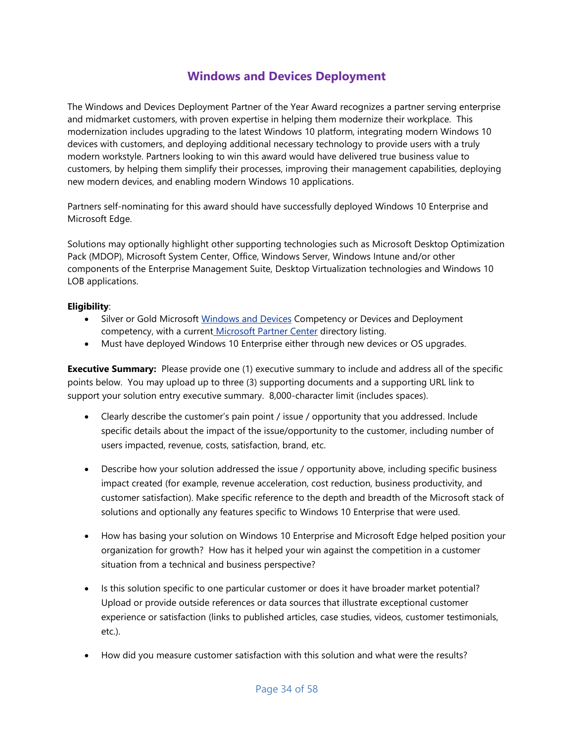# **Windows and Devices Deployment**

<span id="page-33-0"></span>The Windows and Devices Deployment Partner of the Year Award recognizes a partner serving enterprise and midmarket customers, with proven expertise in helping them modernize their workplace. This modernization includes upgrading to the latest Windows 10 platform, integrating modern Windows 10 devices with customers, and deploying additional necessary technology to provide users with a truly modern workstyle. Partners looking to win this award would have delivered true business value to customers, by helping them simplify their processes, improving their management capabilities, deploying new modern devices, and enabling modern Windows 10 applications.

Partners self-nominating for this award should have successfully deployed Windows 10 Enterprise and Microsoft Edge.

Solutions may optionally highlight other supporting technologies such as Microsoft Desktop Optimization Pack (MDOP), Microsoft System Center, Office, Windows Server, Windows Intune and/or other components of the Enterprise Management Suite, Desktop Virtualization technologies and Windows 10 LOB applications.

#### **Eligibility**:

- Silver or Gold Microsoft [Windows and Devices](https://partner.microsoft.com/en-us/membership/windows-and-devices-competency) Competency or Devices and Deployment competency, with a current [Microsoft Partner Center](http://pinpoint.microsoft.com/) directory listing.
- Must have deployed Windows 10 Enterprise either through new devices or OS upgrades.

- Clearly describe the customer's pain point / issue / opportunity that you addressed. Include specific details about the impact of the issue/opportunity to the customer, including number of users impacted, revenue, costs, satisfaction, brand, etc.
- Describe how your solution addressed the issue / opportunity above, including specific business impact created (for example, revenue acceleration, cost reduction, business productivity, and customer satisfaction). Make specific reference to the depth and breadth of the Microsoft stack of solutions and optionally any features specific to Windows 10 Enterprise that were used.
- How has basing your solution on Windows 10 Enterprise and Microsoft Edge helped position your organization for growth? How has it helped your win against the competition in a customer situation from a technical and business perspective?
- Is this solution specific to one particular customer or does it have broader market potential? Upload or provide outside references or data sources that illustrate exceptional customer experience or satisfaction (links to published articles, case studies, videos, customer testimonials, etc.).
- How did you measure customer satisfaction with this solution and what were the results?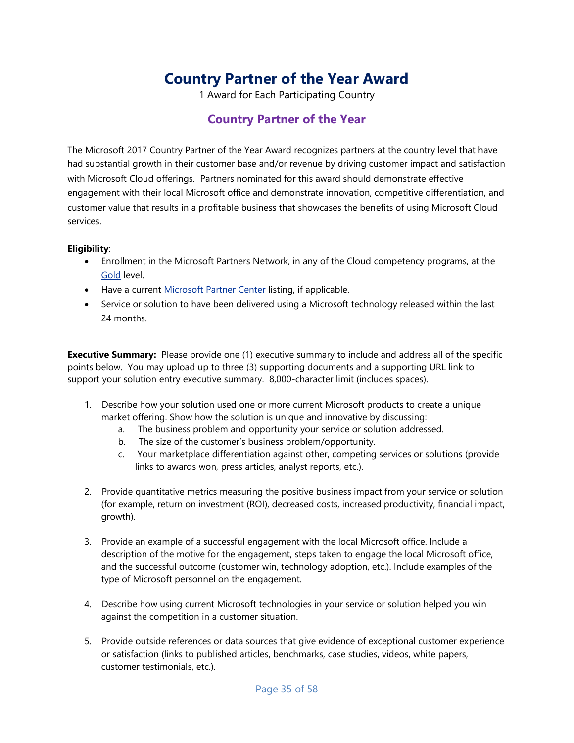# **Country Partner of the Year Award**

1 Award for Each Participating Country

# **Country Partner of the Year**

<span id="page-34-1"></span><span id="page-34-0"></span>The Microsoft 2017 Country Partner of the Year Award recognizes partners at the country level that have had substantial growth in their customer base and/or revenue by driving customer impact and satisfaction with Microsoft Cloud offerings. Partners nominated for this award should demonstrate effective engagement with their local Microsoft office and demonstrate innovation, competitive differentiation, and customer value that results in a profitable business that showcases the benefits of using Microsoft Cloud services.

#### **Eligibility**:

- Enrollment in the Microsoft Partners Network, in any of the Cloud competency programs, at the [Gold](https://partner.microsoft.com/global/40011230) level.
- Have a current [Microsoft Partner Center](https://partnercenter.microsoft.com/en-us/partner/home) listing, if applicable.
- Service or solution to have been delivered using a Microsoft technology released within the last 24 months.

- 1. Describe how your solution used one or more current Microsoft products to create a unique market offering. Show how the solution is unique and innovative by discussing:
	- a. The business problem and opportunity your service or solution addressed.
	- b. The size of the customer's business problem/opportunity.
	- c. Your marketplace differentiation against other, competing services or solutions (provide links to awards won, press articles, analyst reports, etc.).
- 2. Provide quantitative metrics measuring the positive business impact from your service or solution (for example, return on investment (ROI), decreased costs, increased productivity, financial impact, growth).
- 3. Provide an example of a successful engagement with the local Microsoft office. Include a description of the motive for the engagement, steps taken to engage the local Microsoft office, and the successful outcome (customer win, technology adoption, etc.). Include examples of the type of Microsoft personnel on the engagement.
- 4. Describe how using current Microsoft technologies in your service or solution helped you win against the competition in a customer situation.
- 5. Provide outside references or data sources that give evidence of exceptional customer experience or satisfaction (links to published articles, benchmarks, case studies, videos, white papers, customer testimonials, etc.).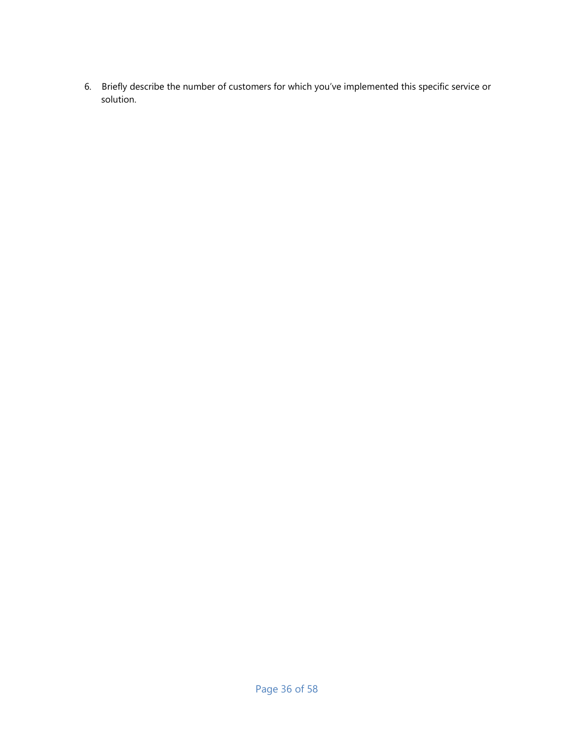6. Briefly describe the number of customers for which you've implemented this specific service or solution.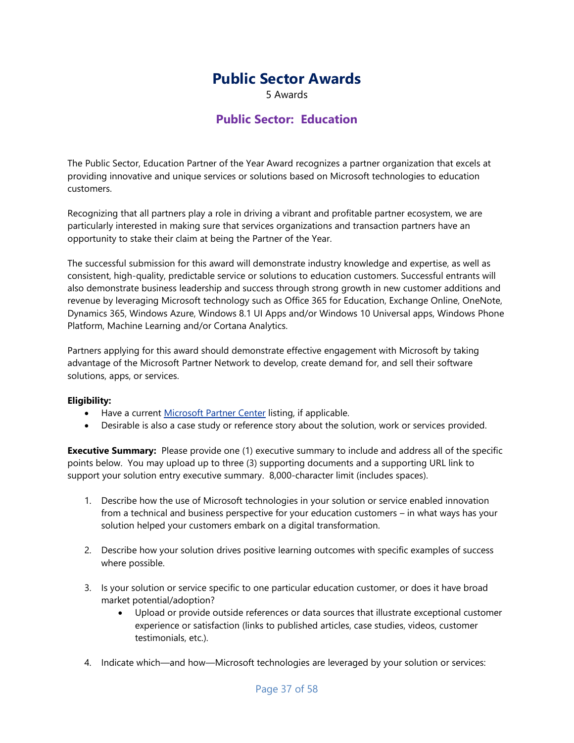# **Public Sector Awards**

5 Awards

### **Public Sector: Education**

<span id="page-36-1"></span><span id="page-36-0"></span>The Public Sector, Education Partner of the Year Award recognizes a partner organization that excels at providing innovative and unique services or solutions based on Microsoft technologies to education customers.

Recognizing that all partners play a role in driving a vibrant and profitable partner ecosystem, we are particularly interested in making sure that services organizations and transaction partners have an opportunity to stake their claim at being the Partner of the Year.

The successful submission for this award will demonstrate industry knowledge and expertise, as well as consistent, high-quality, predictable service or solutions to education customers. Successful entrants will also demonstrate business leadership and success through strong growth in new customer additions and revenue by leveraging Microsoft technology such as Office 365 for Education, Exchange Online, OneNote, Dynamics 365, Windows Azure, Windows 8.1 UI Apps and/or Windows 10 Universal apps, Windows Phone Platform, Machine Learning and/or Cortana Analytics.

Partners applying for this award should demonstrate effective engagement with Microsoft by taking advantage of the Microsoft Partner Network to develop, create demand for, and sell their software solutions, apps, or services.

#### **Eligibility:**

- Have a current [Microsoft Partner Center](https://partnercenter.microsoft.com/en-us/partner/home) listing, if applicable.
- Desirable is also a case study or reference story about the solution, work or services provided.

- 1. Describe how the use of Microsoft technologies in your solution or service enabled innovation from a technical and business perspective for your education customers – in what ways has your solution helped your customers embark on a digital transformation.
- 2. Describe how your solution drives positive learning outcomes with specific examples of success where possible.
- 3. Is your solution or service specific to one particular education customer, or does it have broad market potential/adoption?
	- Upload or provide outside references or data sources that illustrate exceptional customer experience or satisfaction (links to published articles, case studies, videos, customer testimonials, etc.).
- 4. Indicate which—and how—Microsoft technologies are leveraged by your solution or services: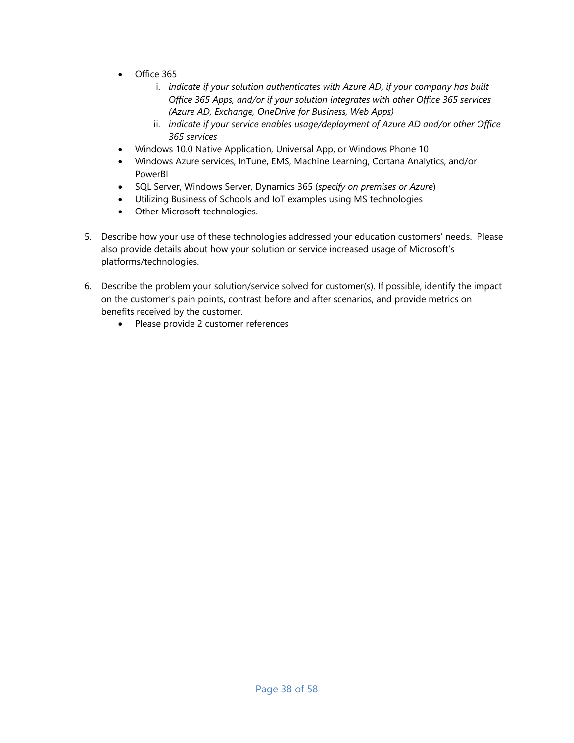- Office 365
	- i. *indicate if your solution authenticates with Azure AD, if your company has built Office 365 Apps, and/or if your solution integrates with other Office 365 services (Azure AD, Exchange, OneDrive for Business, Web Apps)*
	- ii. *indicate if your service enables usage/deployment of Azure AD and/or other Office 365 services*
- Windows 10.0 Native Application, Universal App, or Windows Phone 10
- Windows Azure services, InTune, EMS, Machine Learning, Cortana Analytics, and/or PowerBI
- SQL Server, Windows Server, Dynamics 365 (*specify on premises or Azure*)
- Utilizing Business of Schools and IoT examples using MS technologies
- Other Microsoft technologies.
- 5. Describe how your use of these technologies addressed your education customers' needs. Please also provide details about how your solution or service increased usage of Microsoft's platforms/technologies.
- 6. Describe the problem your solution/service solved for customer(s). If possible, identify the impact on the customer's pain points, contrast before and after scenarios, and provide metrics on benefits received by the customer.
	- Please provide 2 customer references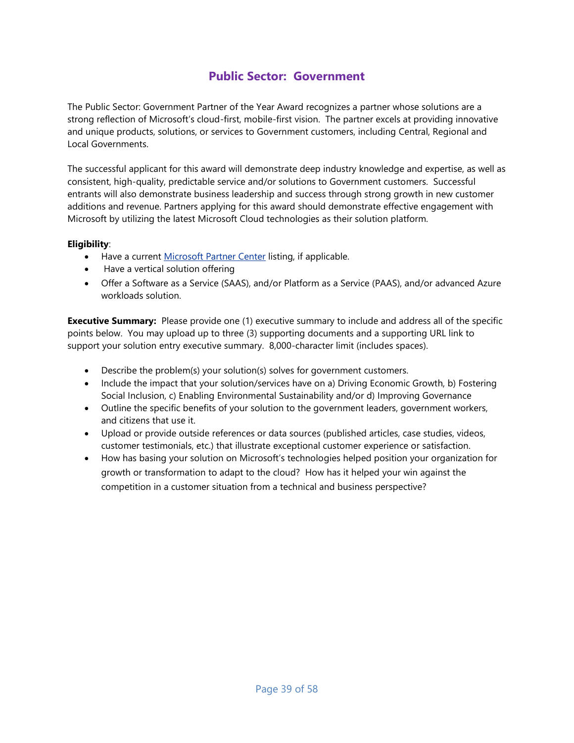# **Public Sector: Government**

<span id="page-38-0"></span>The Public Sector: Government Partner of the Year Award recognizes a partner whose solutions are a strong reflection of Microsoft's cloud-first, mobile-first vision. The partner excels at providing innovative and unique products, solutions, or services to Government customers, including Central, Regional and Local Governments.

The successful applicant for this award will demonstrate deep industry knowledge and expertise, as well as consistent, high-quality, predictable service and/or solutions to Government customers. Successful entrants will also demonstrate business leadership and success through strong growth in new customer additions and revenue. Partners applying for this award should demonstrate effective engagement with Microsoft by utilizing the latest Microsoft Cloud technologies as their solution platform.

#### **Eligibility**:

- Have a current [Microsoft Partner Center](https://partnercenter.microsoft.com/en-us/partner/home) listing, if applicable.
- Have a vertical solution offering
- Offer a Software as a Service (SAAS), and/or Platform as a Service (PAAS), and/or advanced Azure workloads solution.

- Describe the problem(s) your solution(s) solves for government customers.
- Include the impact that your solution/services have on a) Driving Economic Growth, b) Fostering Social Inclusion, c) Enabling Environmental Sustainability and/or d) Improving Governance
- Outline the specific benefits of your solution to the government leaders, government workers, and citizens that use it.
- Upload or provide outside references or data sources (published articles, case studies, videos, customer testimonials, etc.) that illustrate exceptional customer experience or satisfaction.
- How has basing your solution on Microsoft's technologies helped position your organization for growth or transformation to adapt to the cloud? How has it helped your win against the competition in a customer situation from a technical and business perspective?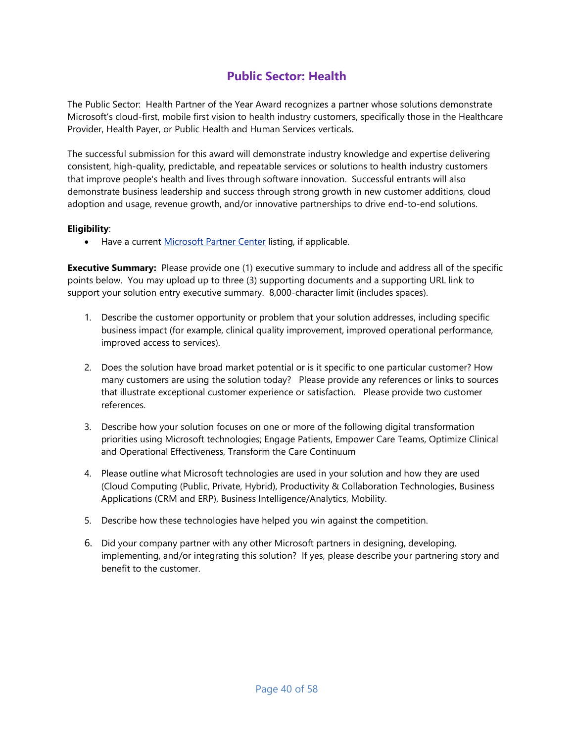# **Public Sector: Health**

<span id="page-39-0"></span>The Public Sector: Health Partner of the Year Award recognizes a partner whose solutions demonstrate Microsoft's cloud-first, mobile first vision to health industry customers, specifically those in the Healthcare Provider, Health Payer, or Public Health and Human Services verticals.

The successful submission for this award will demonstrate industry knowledge and expertise delivering consistent, high-quality, predictable, and repeatable services or solutions to health industry customers that improve people's health and lives through software innovation. Successful entrants will also demonstrate business leadership and success through strong growth in new customer additions, cloud adoption and usage, revenue growth, and/or innovative partnerships to drive end-to-end solutions.

#### **Eligibility**:

• Have a current [Microsoft Partner Center](https://partnercenter.microsoft.com/en-us/partner/home) listing, if applicable.

- 1. Describe the customer opportunity or problem that your solution addresses, including specific business impact (for example, clinical quality improvement, improved operational performance, improved access to services).
- 2. Does the solution have broad market potential or is it specific to one particular customer? How many customers are using the solution today? Please provide any references or links to sources that illustrate exceptional customer experience or satisfaction. Please provide two customer references.
- 3. Describe how your solution focuses on one or more of the following digital transformation priorities using Microsoft technologies; Engage Patients, Empower Care Teams, Optimize Clinical and Operational Effectiveness, Transform the Care Continuum
- 4. Please outline what Microsoft technologies are used in your solution and how they are used (Cloud Computing (Public, Private, Hybrid), Productivity & Collaboration Technologies, Business Applications (CRM and ERP), Business Intelligence/Analytics, Mobility.
- 5. Describe how these technologies have helped you win against the competition.
- 6. Did your company partner with any other Microsoft partners in designing, developing, implementing, and/or integrating this solution? If yes, please describe your partnering story and benefit to the customer.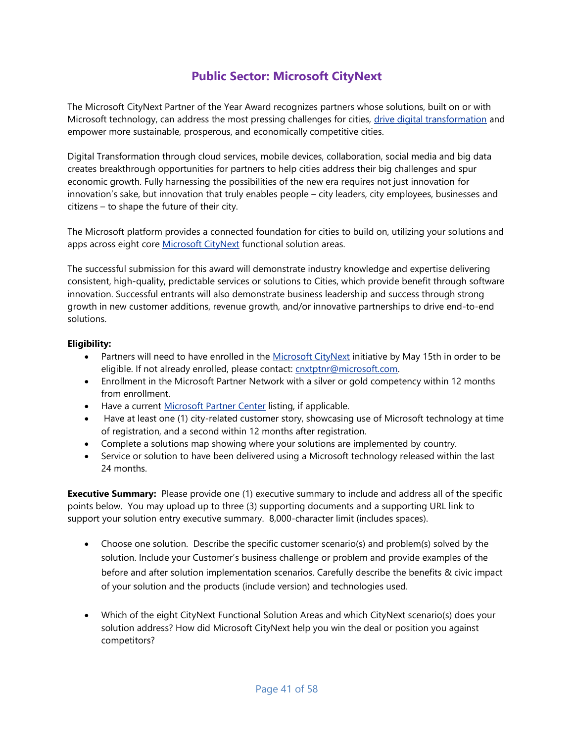# **Public Sector: Microsoft CityNext**

<span id="page-40-0"></span>The Microsoft CityNext Partner of the Year Award recognizes partners whose solutions, built on or with Microsoft technology, can address the most pressing challenges for cities, [drive digital transformation](https://blogs.partner.microsoft.com/mpn/making-sense-of-digital-transformation/?ln=en-us) and empower more sustainable, prosperous, and economically competitive cities.

Digital Transformation through cloud services, mobile devices, collaboration, social media and big data creates breakthrough opportunities for partners to help cities address their big challenges and spur economic growth. Fully harnessing the possibilities of the new era requires not just innovation for innovation's sake, but innovation that truly enables people – city leaders, city employees, businesses and citizens – to shape the future of their city.

The Microsoft platform provides a connected foundation for cities to build on, utilizing your solutions and apps across eight core [Microsoft CityNext](http://www.microsoft.com/citynext) functional solution areas.

The successful submission for this award will demonstrate industry knowledge and expertise delivering consistent, high-quality, predictable services or solutions to Cities, which provide benefit through software innovation. Successful entrants will also demonstrate business leadership and success through strong growth in new customer additions, revenue growth, and/or innovative partnerships to drive end-to-end solutions.

#### **Eligibility:**

- Partners will need to have enrolled in the [Microsoft CityNext](https://mspartner.microsoft.com/en/us/Pages/Solutions/CityNext.aspx) initiative by May 15th in order to be eligible. If not already enrolled, please contact: [cnxtptnr@microsoft.com.](mailto:cnxtptnr@microsoft.com)
- Enrollment in the Microsoft Partner Network with a silver or gold competency within 12 months from enrollment.
- Have a current [Microsoft Partner Center](https://partnercenter.microsoft.com/en-us/partner/home) listing, if applicable.
- Have at least one (1) city-related customer story, showcasing use of Microsoft technology at time of registration, and a second within 12 months after registration.
- Complete a solutions map showing where your solutions are implemented by country.
- Service or solution to have been delivered using a Microsoft technology released within the last 24 months.

- Choose one solution. Describe the specific customer scenario(s) and problem(s) solved by the solution. Include your Customer's business challenge or problem and provide examples of the before and after solution implementation scenarios. Carefully describe the benefits & civic impact of your solution and the products (include version) and technologies used.
- Which of the eight CityNext Functional Solution Areas and which CityNext scenario(s) does your solution address? How did Microsoft CityNext help you win the deal or position you against competitors?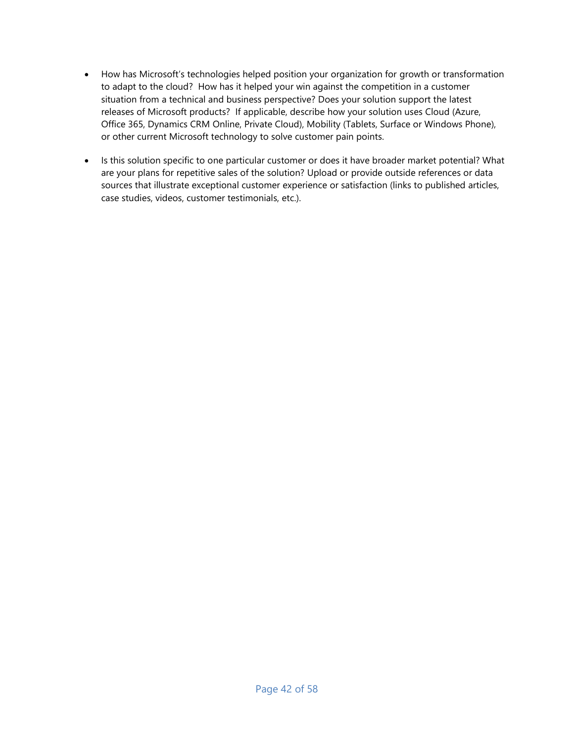- How has Microsoft's technologies helped position your organization for growth or transformation to adapt to the cloud? How has it helped your win against the competition in a customer situation from a technical and business perspective? Does your solution support the latest releases of Microsoft products? If applicable, describe how your solution uses Cloud (Azure, Office 365, Dynamics CRM Online, Private Cloud), Mobility (Tablets, Surface or Windows Phone), or other current Microsoft technology to solve customer pain points.
- Is this solution specific to one particular customer or does it have broader market potential? What are your plans for repetitive sales of the solution? Upload or provide outside references or data sources that illustrate exceptional customer experience or satisfaction (links to published articles, case studies, videos, customer testimonials, etc.).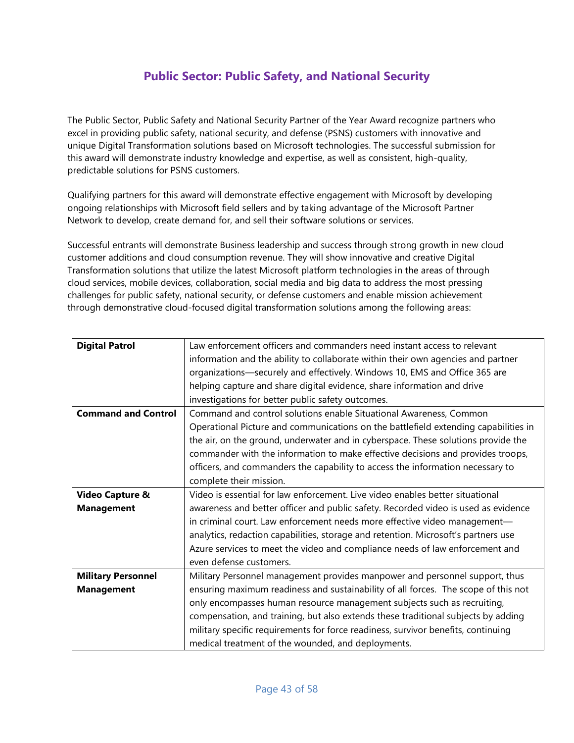# **Public Sector: Public Safety, and National Security**

<span id="page-42-0"></span>The Public Sector, Public Safety and National Security Partner of the Year Award recognize partners who excel in providing public safety, national security, and defense (PSNS) customers with innovative and unique Digital Transformation solutions based on Microsoft technologies. The successful submission for this award will demonstrate industry knowledge and expertise, as well as consistent, high-quality, predictable solutions for PSNS customers.

Qualifying partners for this award will demonstrate effective engagement with Microsoft by developing ongoing relationships with Microsoft field sellers and by taking advantage of the Microsoft Partner Network to develop, create demand for, and sell their software solutions or services.

Successful entrants will demonstrate Business leadership and success through strong growth in new cloud customer additions and cloud consumption revenue. They will show innovative and creative Digital Transformation solutions that utilize the latest Microsoft platform technologies in the areas of through cloud services, mobile devices, collaboration, social media and big data to address the most pressing challenges for public safety, national security, or defense customers and enable mission achievement through demonstrative cloud-focused digital transformation solutions among the following areas:

| <b>Digital Patrol</b>      | Law enforcement officers and commanders need instant access to relevant             |
|----------------------------|-------------------------------------------------------------------------------------|
|                            | information and the ability to collaborate within their own agencies and partner    |
|                            | organizations-securely and effectively. Windows 10, EMS and Office 365 are          |
|                            | helping capture and share digital evidence, share information and drive             |
|                            | investigations for better public safety outcomes.                                   |
| <b>Command and Control</b> | Command and control solutions enable Situational Awareness, Common                  |
|                            | Operational Picture and communications on the battlefield extending capabilities in |
|                            | the air, on the ground, underwater and in cyberspace. These solutions provide the   |
|                            | commander with the information to make effective decisions and provides troops,     |
|                            | officers, and commanders the capability to access the information necessary to      |
|                            | complete their mission.                                                             |
| <b>Video Capture &amp;</b> | Video is essential for law enforcement. Live video enables better situational       |
| <b>Management</b>          | awareness and better officer and public safety. Recorded video is used as evidence  |
|                            | in criminal court. Law enforcement needs more effective video management-           |
|                            | analytics, redaction capabilities, storage and retention. Microsoft's partners use  |
|                            | Azure services to meet the video and compliance needs of law enforcement and        |
|                            | even defense customers.                                                             |
| <b>Military Personnel</b>  | Military Personnel management provides manpower and personnel support, thus         |
| <b>Management</b>          | ensuring maximum readiness and sustainability of all forces. The scope of this not  |
|                            | only encompasses human resource management subjects such as recruiting,             |
|                            | compensation, and training, but also extends these traditional subjects by adding   |
|                            | military specific requirements for force readiness, survivor benefits, continuing   |
|                            | medical treatment of the wounded, and deployments.                                  |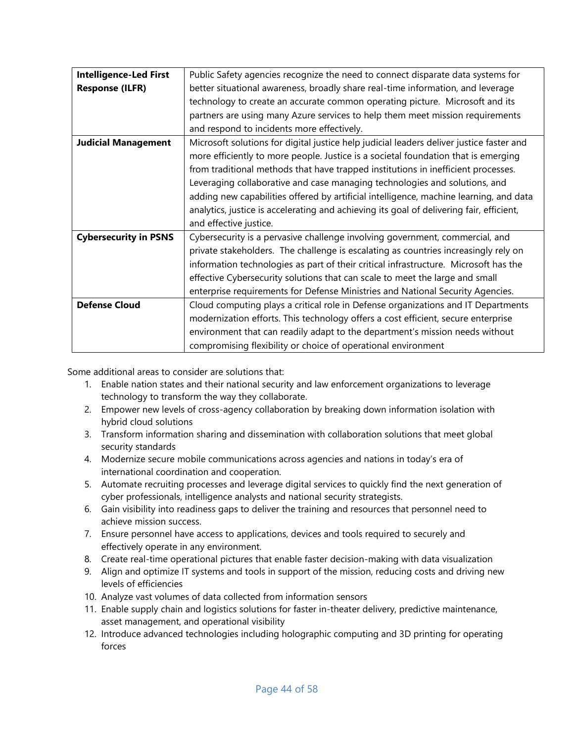| <b>Intelligence-Led First</b> | Public Safety agencies recognize the need to connect disparate data systems for          |
|-------------------------------|------------------------------------------------------------------------------------------|
| <b>Response (ILFR)</b>        | better situational awareness, broadly share real-time information, and leverage          |
|                               | technology to create an accurate common operating picture. Microsoft and its             |
|                               | partners are using many Azure services to help them meet mission requirements            |
|                               | and respond to incidents more effectively.                                               |
| <b>Judicial Management</b>    | Microsoft solutions for digital justice help judicial leaders deliver justice faster and |
|                               | more efficiently to more people. Justice is a societal foundation that is emerging       |
|                               | from traditional methods that have trapped institutions in inefficient processes.        |
|                               | Leveraging collaborative and case managing technologies and solutions, and               |
|                               | adding new capabilities offered by artificial intelligence, machine learning, and data   |
|                               | analytics, justice is accelerating and achieving its goal of delivering fair, efficient, |
|                               | and effective justice.                                                                   |
| <b>Cybersecurity in PSNS</b>  | Cybersecurity is a pervasive challenge involving government, commercial, and             |
|                               | private stakeholders. The challenge is escalating as countries increasingly rely on      |
|                               | information technologies as part of their critical infrastructure. Microsoft has the     |
|                               | effective Cybersecurity solutions that can scale to meet the large and small             |
|                               | enterprise requirements for Defense Ministries and National Security Agencies.           |
| <b>Defense Cloud</b>          | Cloud computing plays a critical role in Defense organizations and IT Departments        |
|                               | modernization efforts. This technology offers a cost efficient, secure enterprise        |
|                               | environment that can readily adapt to the department's mission needs without             |
|                               | compromising flexibility or choice of operational environment                            |

Some additional areas to consider are solutions that:

- 1. Enable nation states and their national security and law enforcement organizations to leverage technology to transform the way they collaborate.
- 2. Empower new levels of cross-agency collaboration by breaking down information isolation with hybrid cloud solutions
- 3. Transform information sharing and dissemination with collaboration solutions that meet global security standards
- 4. Modernize secure mobile communications across agencies and nations in today's era of international coordination and cooperation.
- 5. Automate recruiting processes and leverage digital services to quickly find the next generation of cyber professionals, intelligence analysts and national security strategists.
- 6. Gain visibility into readiness gaps to deliver the training and resources that personnel need to achieve mission success.
- 7. Ensure personnel have access to applications, devices and tools required to securely and effectively operate in any environment.
- 8. Create real-time operational pictures that enable faster decision-making with data visualization
- 9. Align and optimize IT systems and tools in support of the mission, reducing costs and driving new levels of efficiencies
- 10. Analyze vast volumes of data collected from information sensors
- 11. Enable supply chain and logistics solutions for faster in-theater delivery, predictive maintenance, asset management, and operational visibility
- 12. Introduce advanced technologies including holographic computing and 3D printing for operating forces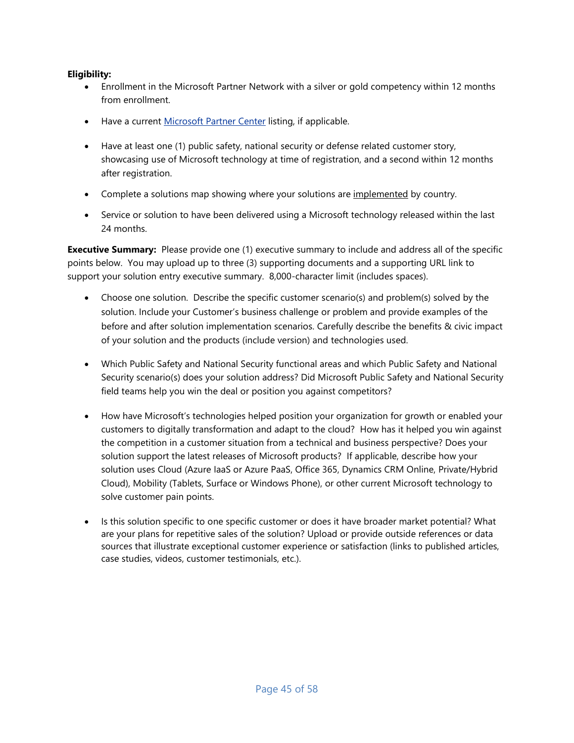#### **Eligibility:**

- Enrollment in the Microsoft Partner Network with a silver or gold competency within 12 months from enrollment.
- Have a current [Microsoft Partner Center](https://partnercenter.microsoft.com/en-us/partner/home) listing, if applicable.
- Have at least one (1) public safety, national security or defense related customer story, showcasing use of Microsoft technology at time of registration, and a second within 12 months after registration.
- Complete a solutions map showing where your solutions are implemented by country.
- Service or solution to have been delivered using a Microsoft technology released within the last 24 months.

- Choose one solution. Describe the specific customer scenario(s) and problem(s) solved by the solution. Include your Customer's business challenge or problem and provide examples of the before and after solution implementation scenarios. Carefully describe the benefits & civic impact of your solution and the products (include version) and technologies used.
- Which Public Safety and National Security functional areas and which Public Safety and National Security scenario(s) does your solution address? Did Microsoft Public Safety and National Security field teams help you win the deal or position you against competitors?
- How have Microsoft's technologies helped position your organization for growth or enabled your customers to digitally transformation and adapt to the cloud? How has it helped you win against the competition in a customer situation from a technical and business perspective? Does your solution support the latest releases of Microsoft products? If applicable, describe how your solution uses Cloud (Azure IaaS or Azure PaaS, Office 365, Dynamics CRM Online, Private/Hybrid Cloud), Mobility (Tablets, Surface or Windows Phone), or other current Microsoft technology to solve customer pain points.
- Is this solution specific to one specific customer or does it have broader market potential? What are your plans for repetitive sales of the solution? Upload or provide outside references or data sources that illustrate exceptional customer experience or satisfaction (links to published articles, case studies, videos, customer testimonials, etc.).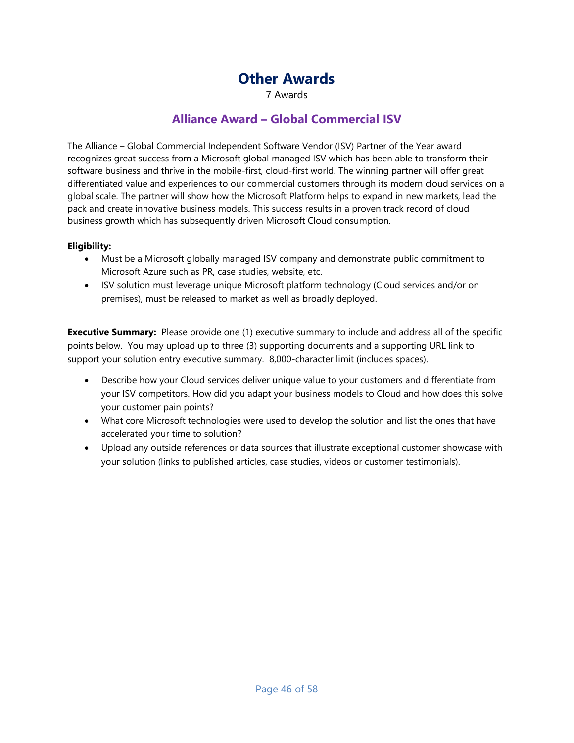# **Other Awards**

7 Awards

# **Alliance Award – Global Commercial ISV**

<span id="page-45-1"></span><span id="page-45-0"></span>The Alliance – Global Commercial Independent Software Vendor (ISV) Partner of the Year award recognizes great success from a Microsoft global managed ISV which has been able to transform their software business and thrive in the mobile-first, cloud-first world. The winning partner will offer great differentiated value and experiences to our commercial customers through its modern cloud services on a global scale. The partner will show how the Microsoft Platform helps to expand in new markets, lead the pack and create innovative business models. This success results in a proven track record of cloud business growth which has subsequently driven Microsoft Cloud consumption.

#### **Eligibility:**

- Must be a Microsoft globally managed ISV company and demonstrate public commitment to Microsoft Azure such as PR, case studies, website, etc.
- ISV solution must leverage unique Microsoft platform technology (Cloud services and/or on premises), must be released to market as well as broadly deployed.

- Describe how your Cloud services deliver unique value to your customers and differentiate from your ISV competitors. How did you adapt your business models to Cloud and how does this solve your customer pain points?
- What core Microsoft technologies were used to develop the solution and list the ones that have accelerated your time to solution?
- Upload any outside references or data sources that illustrate exceptional customer showcase with your solution (links to published articles, case studies, videos or customer testimonials).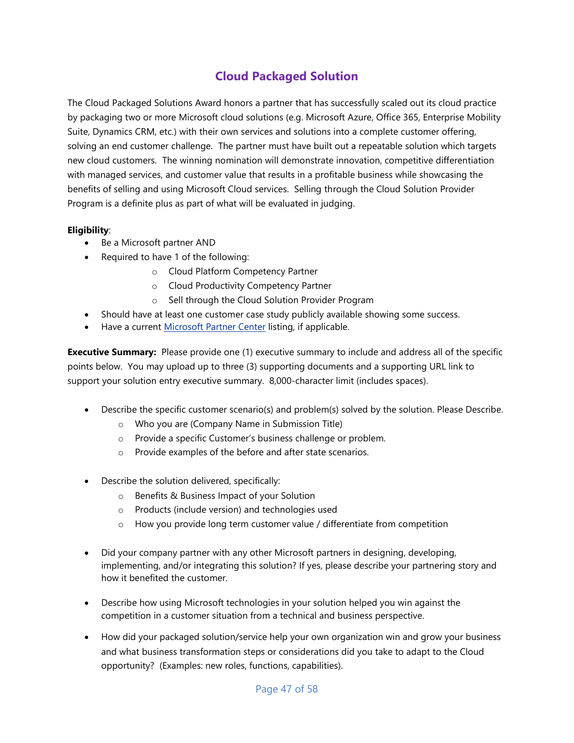# **Cloud Packaged Solution**

<span id="page-46-0"></span>The Cloud Packaged Solutions Award honors a partner that has successfully scaled out its cloud practice by packaging two or more Microsoft cloud solutions (e.g. Microsoft Azure, Office 365, Enterprise Mobility Suite, Dynamics CRM, etc.) with their own services and solutions into a complete customer offering, solving an end customer challenge. The partner must have built out a repeatable solution which targets new cloud customers. The winning nomination will demonstrate innovation, competitive differentiation with managed services, and customer value that results in a profitable business while showcasing the benefits of selling and using Microsoft Cloud services. Selling through the Cloud Solution Provider Program is a definite plus as part of what will be evaluated in judging.

#### **Eligibility**:

- Be a Microsoft partner AND
- Required to have 1 of the following:
	- o Cloud Platform Competency Partner
	- o Cloud Productivity Competency Partner
	- o Sell through the Cloud Solution Provider Program
- Should have at least one customer case study publicly available showing some success.
- Have a current [Microsoft Partner Center](https://partnercenter.microsoft.com/en-us/partner/home) listing, if applicable.

- Describe the specific customer scenario(s) and problem(s) solved by the solution. Please Describe.
	- o Who you are (Company Name in Submission Title)
	- o Provide a specific Customer's business challenge or problem.
	- o Provide examples of the before and after state scenarios.
- Describe the solution delivered, specifically:
	- o Benefits & Business Impact of your Solution
	- o Products (include version) and technologies used
	- o How you provide long term customer value / differentiate from competition
- Did your company partner with any other Microsoft partners in designing, developing, implementing, and/or integrating this solution? If yes, please describe your partnering story and how it benefited the customer.
- Describe how using Microsoft technologies in your solution helped you win against the competition in a customer situation from a technical and business perspective.
- How did your packaged solution/service help your own organization win and grow your business and what business transformation steps or considerations did you take to adapt to the Cloud opportunity? (Examples: new roles, functions, capabilities).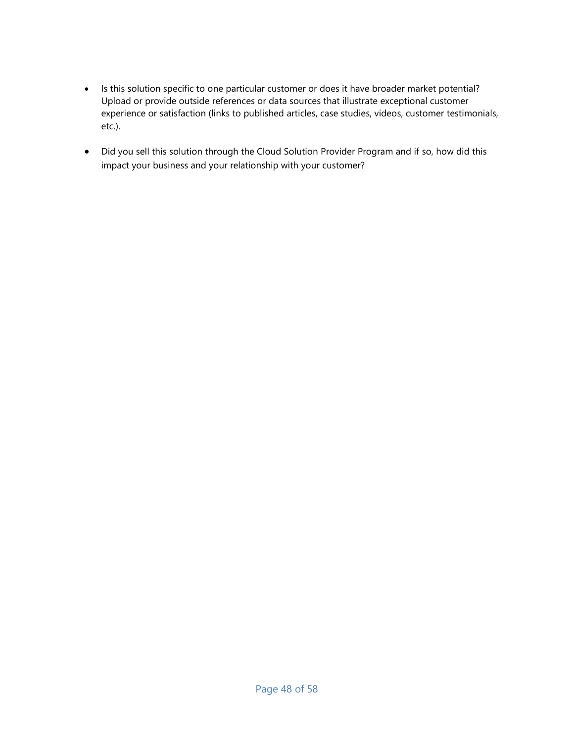- Is this solution specific to one particular customer or does it have broader market potential? Upload or provide outside references or data sources that illustrate exceptional customer experience or satisfaction (links to published articles, case studies, videos, customer testimonials, etc.).
- Did you sell this solution through the Cloud Solution Provider Program and if so, how did this impact your business and your relationship with your customer?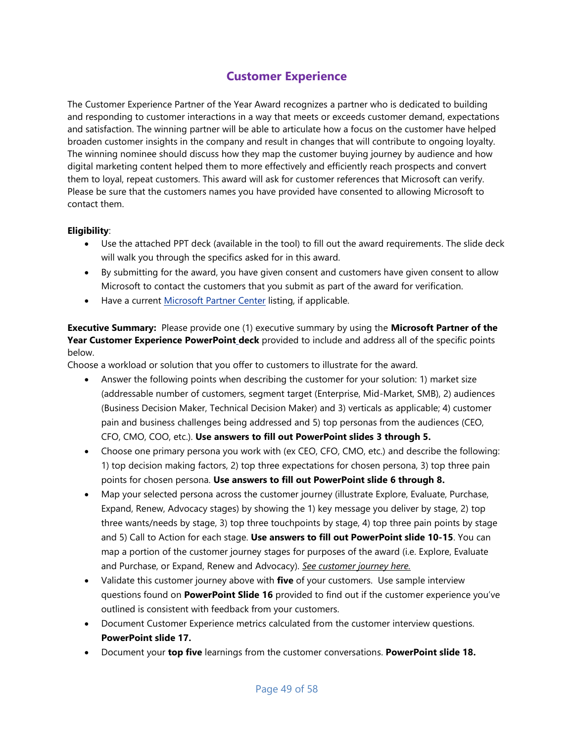# **Customer Experience**

<span id="page-48-0"></span>The Customer Experience Partner of the Year Award recognizes a partner who is dedicated to building and responding to customer interactions in a way that meets or exceeds customer demand, expectations and satisfaction. The winning partner will be able to articulate how a focus on the customer have helped broaden customer insights in the company and result in changes that will contribute to ongoing loyalty. The winning nominee should discuss how they map the customer buying journey by audience and how digital marketing content helped them to more effectively and efficiently reach prospects and convert them to loyal, repeat customers. This award will ask for customer references that Microsoft can verify. Please be sure that the customers names you have provided have consented to allowing Microsoft to contact them.

#### **Eligibility**:

- Use the attached PPT deck (available in the tool) to fill out the award requirements. The slide deck will walk you through the specifics asked for in this award.
- By submitting for the award, you have given consent and customers have given consent to allow Microsoft to contact the customers that you submit as part of the award for verification.
- Have a current [Microsoft Partner Center](https://partnercenter.microsoft.com/en-us/partner/home) listing, if applicable.

**Executive Summary:** Please provide one (1) executive summary by using the **Microsoft Partner of the Year Customer Experience PowerPoint deck** provided to include and address all of the specific points below.

Choose a workload or solution that you offer to customers to illustrate for the award.

- Answer the following points when describing the customer for your solution: 1) market size (addressable number of customers, segment target (Enterprise, Mid-Market, SMB), 2) audiences (Business Decision Maker, Technical Decision Maker) and 3) verticals as applicable; 4) customer pain and business challenges being addressed and 5) top personas from the audiences (CEO, CFO, CMO, COO, etc.). **Use answers to fill out PowerPoint slides 3 through 5.**
- Choose one primary persona you work with (ex CEO, CFO, CMO, etc.) and describe the following: 1) top decision making factors, 2) top three expectations for chosen persona, 3) top three pain points for chosen persona. **Use answers to fill out PowerPoint slide 6 through 8.**
- Map your selected persona across the customer journey (illustrate Explore, Evaluate, Purchase, Expand, Renew, Advocacy stages) by showing the 1) key message you deliver by stage, 2) top three wants/needs by stage, 3) top three touchpoints by stage, 4) top three pain points by stage and 5) Call to Action for each stage. **Use answers to fill out PowerPoint slide 10-15**. You can map a portion of the customer journey stages for purposes of the award (i.e. Explore, Evaluate and Purchase, or Expand, Renew and Advocacy). *[See customer journey here.](http://smartpartnermarketing.microsoft.com/customer-journey)*
- Validate this customer journey above with **five** of your customers. Use sample interview questions found on **PowerPoint Slide 16** provided to find out if the customer experience you've outlined is consistent with feedback from your customers.
- Document Customer Experience metrics calculated from the customer interview questions. **PowerPoint slide 17.**
- Document your **top five** learnings from the customer conversations. **PowerPoint slide 18.**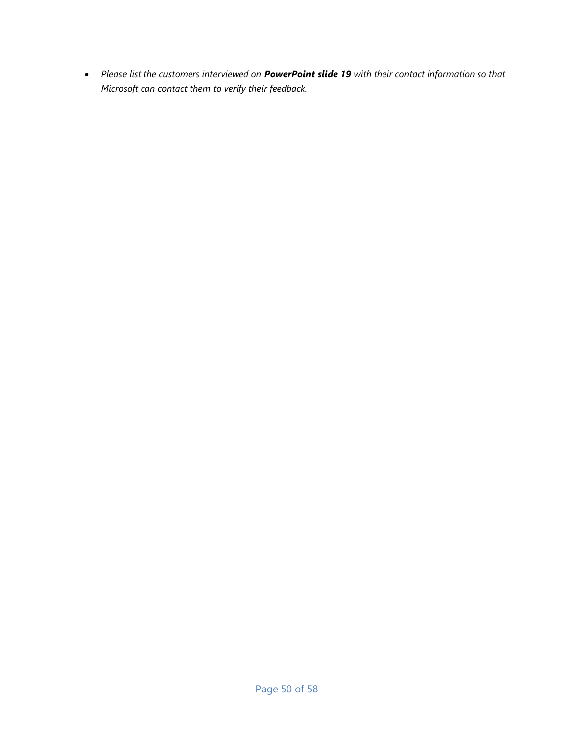*Please list the customers interviewed on PowerPoint slide 19 with their contact information so that Microsoft can contact them to verify their feedback.*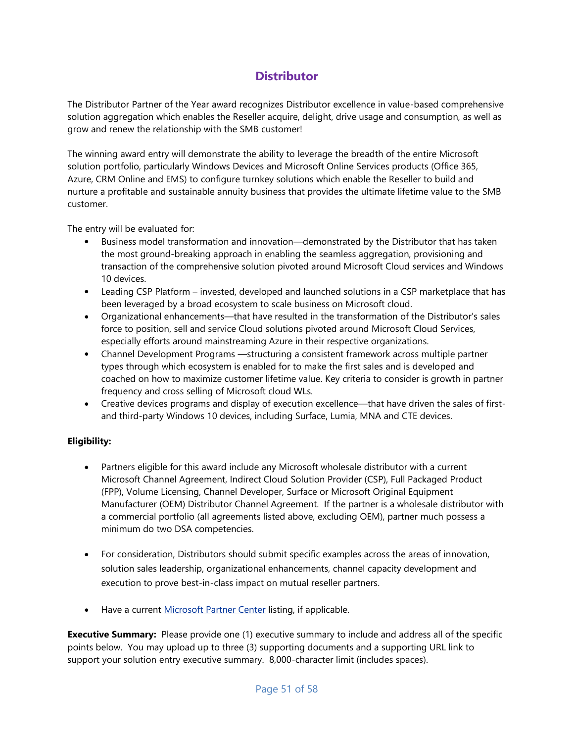# **Distributor**

<span id="page-50-0"></span>The Distributor Partner of the Year award recognizes Distributor excellence in value-based comprehensive solution aggregation which enables the Reseller acquire, delight, drive usage and consumption, as well as grow and renew the relationship with the SMB customer!

The winning award entry will demonstrate the ability to leverage the breadth of the entire Microsoft solution portfolio, particularly Windows Devices and Microsoft Online Services products (Office 365, Azure, CRM Online and EMS) to configure turnkey solutions which enable the Reseller to build and nurture a profitable and sustainable annuity business that provides the ultimate lifetime value to the SMB customer.

The entry will be evaluated for:

- Business model transformation and innovation—demonstrated by the Distributor that has taken the most ground-breaking approach in enabling the seamless aggregation, provisioning and transaction of the comprehensive solution pivoted around Microsoft Cloud services and Windows 10 devices.
- Leading CSP Platform invested, developed and launched solutions in a CSP marketplace that has been leveraged by a broad ecosystem to scale business on Microsoft cloud.
- Organizational enhancements—that have resulted in the transformation of the Distributor's sales force to position, sell and service Cloud solutions pivoted around Microsoft Cloud Services, especially efforts around mainstreaming Azure in their respective organizations.
- Channel Development Programs —structuring a consistent framework across multiple partner types through which ecosystem is enabled for to make the first sales and is developed and coached on how to maximize customer lifetime value. Key criteria to consider is growth in partner frequency and cross selling of Microsoft cloud WLs.
- Creative devices programs and display of execution excellence—that have driven the sales of firstand third-party Windows 10 devices, including Surface, Lumia, MNA and CTE devices.

#### **Eligibility:**

- Partners eligible for this award include any Microsoft wholesale distributor with a current Microsoft Channel Agreement, Indirect Cloud Solution Provider (CSP), Full Packaged Product (FPP), Volume Licensing, Channel Developer, Surface or Microsoft Original Equipment Manufacturer (OEM) Distributor Channel Agreement. If the partner is a wholesale distributor with a commercial portfolio (all agreements listed above, excluding OEM), partner much possess a minimum do two DSA competencies.
- For consideration, Distributors should submit specific examples across the areas of innovation, solution sales leadership, organizational enhancements, channel capacity development and execution to prove best-in-class impact on mutual reseller partners.
- Have a current [Microsoft Partner Center](https://partnercenter.microsoft.com/en-us/partner/home) listing, if applicable.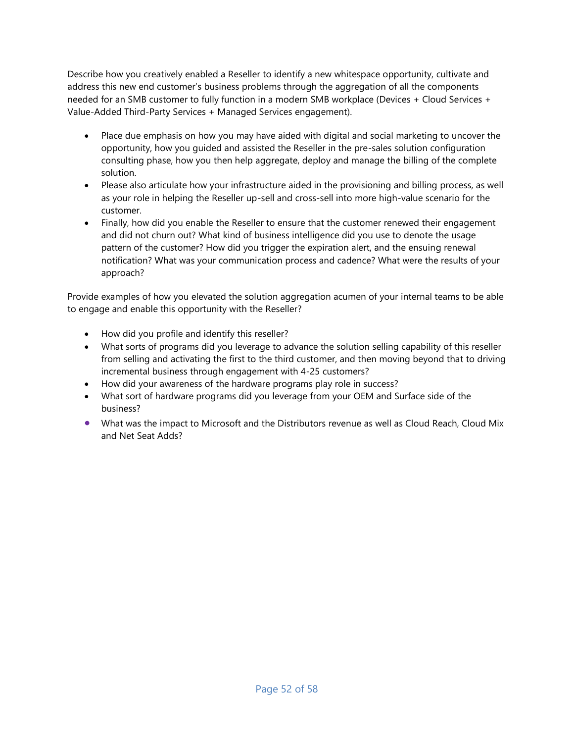Describe how you creatively enabled a Reseller to identify a new whitespace opportunity, cultivate and address this new end customer's business problems through the aggregation of all the components needed for an SMB customer to fully function in a modern SMB workplace (Devices + Cloud Services + Value-Added Third-Party Services + Managed Services engagement).

- Place due emphasis on how you may have aided with digital and social marketing to uncover the opportunity, how you guided and assisted the Reseller in the pre-sales solution configuration consulting phase, how you then help aggregate, deploy and manage the billing of the complete solution.
- Please also articulate how your infrastructure aided in the provisioning and billing process, as well as your role in helping the Reseller up-sell and cross-sell into more high-value scenario for the customer.
- Finally, how did you enable the Reseller to ensure that the customer renewed their engagement and did not churn out? What kind of business intelligence did you use to denote the usage pattern of the customer? How did you trigger the expiration alert, and the ensuing renewal notification? What was your communication process and cadence? What were the results of your approach?

Provide examples of how you elevated the solution aggregation acumen of your internal teams to be able to engage and enable this opportunity with the Reseller?

- How did you profile and identify this reseller?
- What sorts of programs did you leverage to advance the solution selling capability of this reseller from selling and activating the first to the third customer, and then moving beyond that to driving incremental business through engagement with 4-25 customers?
- How did your awareness of the hardware programs play role in success?
- What sort of hardware programs did you leverage from your OEM and Surface side of the business?
- What was the impact to Microsoft and the Distributors revenue as well as Cloud Reach, Cloud Mix and Net Seat Adds?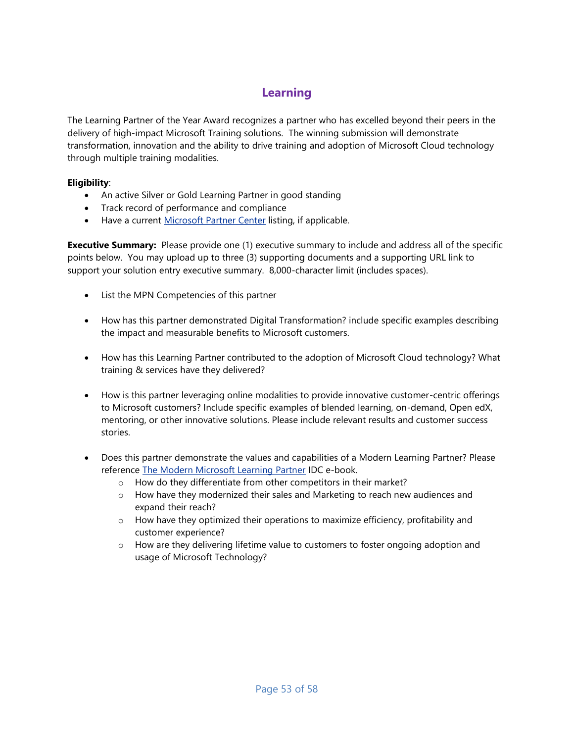# **Learning**

<span id="page-52-0"></span>The Learning Partner of the Year Award recognizes a partner who has excelled beyond their peers in the delivery of high-impact Microsoft Training solutions. The winning submission will demonstrate transformation, innovation and the ability to drive training and adoption of Microsoft Cloud technology through multiple training modalities.

#### **Eligibility**:

- An active Silver or Gold Learning Partner in good standing
- Track record of performance and compliance
- Have a current [Microsoft Partner Center](https://partnercenter.microsoft.com/en-us/partner/home) listing, if applicable.

- List the MPN Competencies of this partner
- How has this partner demonstrated Digital Transformation? include specific examples describing the impact and measurable benefits to Microsoft customers.
- How has this Learning Partner contributed to the adoption of Microsoft Cloud technology? What training & services have they delivered?
- How is this partner leveraging online modalities to provide innovative customer-centric offerings to Microsoft customers? Include specific examples of blended learning, on-demand, Open edX, mentoring, or other innovative solutions. Please include relevant results and customer success stories.
- Does this partner demonstrate the values and capabilities of a Modern Learning Partner? Please reference [The Modern Microsoft Learning Partner](https://usecmpndst01.blob.core.windows.net/mpnassets/bcfea895880a4433bd9cd157325d3cd8?sv=2014-02-14&sr=b&sig=RWpuSTNQGT5FI5OtbvH75R6T9nCZ0NcVtTLCK4hX120%3D&se=2016-12-21T18:00:12Z&sp=r) IDC e-book.
	- o How do they differentiate from other competitors in their market?
	- o How have they modernized their sales and Marketing to reach new audiences and expand their reach?
	- $\circ$  How have they optimized their operations to maximize efficiency, profitability and customer experience?
	- $\circ$  How are they delivering lifetime value to customers to foster ongoing adoption and usage of Microsoft Technology?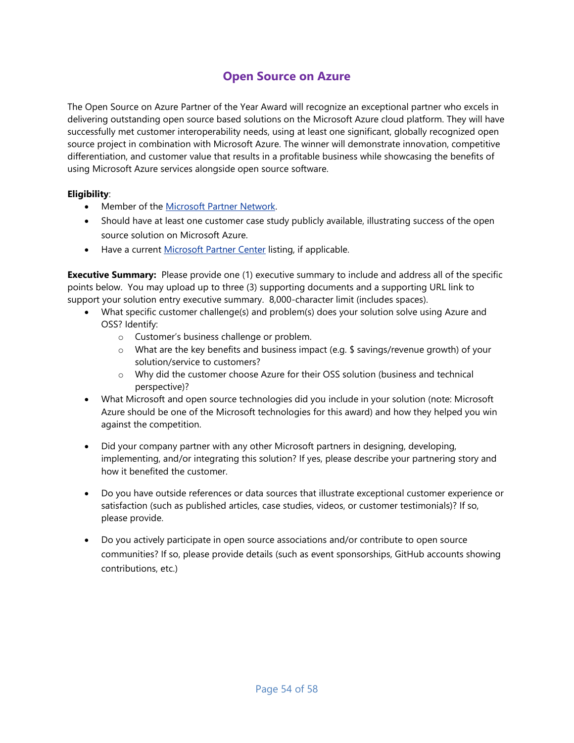# **Open Source on Azure**

<span id="page-53-0"></span>The Open Source on Azure Partner of the Year Award will recognize an exceptional partner who excels in delivering outstanding open source based solutions on the Microsoft Azure cloud platform. They will have successfully met customer interoperability needs, using at least one significant, globally recognized open source project in combination with Microsoft Azure. The winner will demonstrate innovation, competitive differentiation, and customer value that results in a profitable business while showcasing the benefits of using Microsoft Azure services alongside open source software.

#### **Eligibility**:

- Member of the Microsoft Partner Network.
- Should have at least one customer case study publicly available, illustrating success of the open source solution on Microsoft Azure.
- Have a current [Microsoft Partner Center](https://partnercenter.microsoft.com/en-us/partner/home) listing, if applicable.

- What specific customer challenge(s) and problem(s) does your solution solve using Azure and OSS? Identify:
	- o Customer's business challenge or problem.
	- $\circ$  What are the key benefits and business impact (e.g. \$ savings/revenue growth) of your solution/service to customers?
	- o Why did the customer choose Azure for their OSS solution (business and technical perspective)?
- What Microsoft and open source technologies did you include in your solution (note: Microsoft Azure should be one of the Microsoft technologies for this award) and how they helped you win against the competition.
- Did your company partner with any other Microsoft partners in designing, developing, implementing, and/or integrating this solution? If yes, please describe your partnering story and how it benefited the customer.
- Do you have outside references or data sources that illustrate exceptional customer experience or satisfaction (such as published articles, case studies, videos, or customer testimonials)? If so, please provide.
- Do you actively participate in open source associations and/or contribute to open source communities? If so, please provide details (such as event sponsorships, GitHub accounts showing contributions, etc.)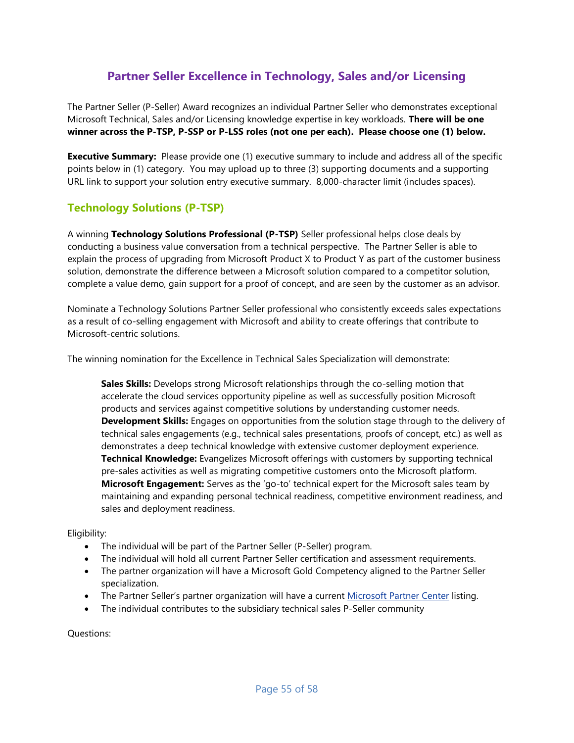# **Partner Seller Excellence in Technology, Sales and/or Licensing**

<span id="page-54-0"></span>The Partner Seller (P-Seller) Award recognizes an individual Partner Seller who demonstrates exceptional Microsoft Technical, Sales and/or Licensing knowledge expertise in key workloads. **There will be one winner across the P-TSP, P-SSP or P-LSS roles (not one per each). Please choose one (1) below.**

**Executive Summary:** Please provide one (1) executive summary to include and address all of the specific points below in (1) category. You may upload up to three (3) supporting documents and a supporting URL link to support your solution entry executive summary. 8,000-character limit (includes spaces).

### **Technology Solutions (P-TSP)**

A winning **Technology Solutions Professional (P-TSP)** Seller professional helps close deals by conducting a business value conversation from a technical perspective. The Partner Seller is able to explain the process of upgrading from Microsoft Product X to Product Y as part of the customer business solution, demonstrate the difference between a Microsoft solution compared to a competitor solution, complete a value demo, gain support for a proof of concept, and are seen by the customer as an advisor.

Nominate a Technology Solutions Partner Seller professional who consistently exceeds sales expectations as a result of co-selling engagement with Microsoft and ability to create offerings that contribute to Microsoft-centric solutions.

The winning nomination for the Excellence in Technical Sales Specialization will demonstrate:

**Sales Skills:** Develops strong Microsoft relationships through the co-selling motion that accelerate the cloud services opportunity pipeline as well as successfully position Microsoft products and services against competitive solutions by understanding customer needs. **Development Skills:** Engages on opportunities from the solution stage through to the delivery of technical sales engagements (e.g., technical sales presentations, proofs of concept, etc.) as well as demonstrates a deep technical knowledge with extensive customer deployment experience. **Technical Knowledge:** Evangelizes Microsoft offerings with customers by supporting technical pre-sales activities as well as migrating competitive customers onto the Microsoft platform. **Microsoft Engagement:** Serves as the 'go-to' technical expert for the Microsoft sales team by maintaining and expanding personal technical readiness, competitive environment readiness, and sales and deployment readiness.

#### Eligibility:

- The individual will be part of the Partner Seller (P-Seller) program.
- The individual will hold all current Partner Seller certification and assessment requirements.
- The partner organization will have a Microsoft Gold Competency aligned to the Partner Seller specialization.
- The Partner Seller's partner organization will have a current [Microsoft Partner Center](https://partnercenter.microsoft.com/en-us/partner/home) listing.
- The individual contributes to the subsidiary technical sales P-Seller community

Questions: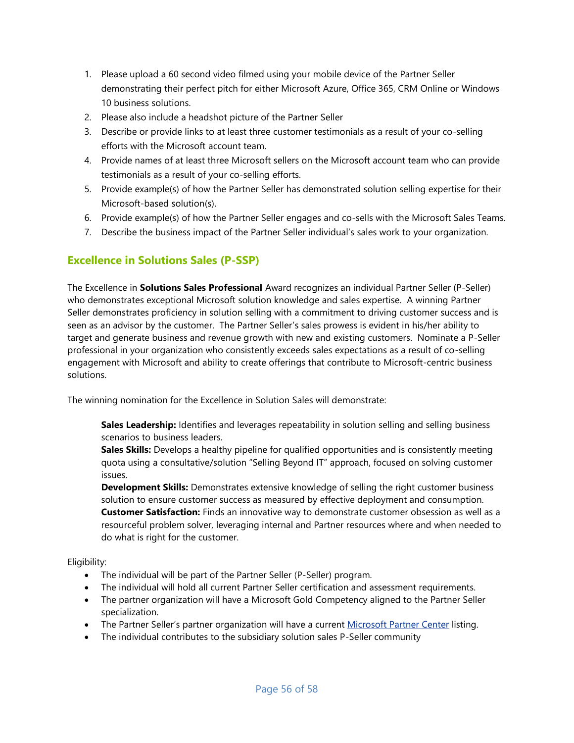- 1. Please upload a 60 second video filmed using your mobile device of the Partner Seller demonstrating their perfect pitch for either Microsoft Azure, Office 365, CRM Online or Windows 10 business solutions.
- 2. Please also include a headshot picture of the Partner Seller
- 3. Describe or provide links to at least three customer testimonials as a result of your co-selling efforts with the Microsoft account team.
- 4. Provide names of at least three Microsoft sellers on the Microsoft account team who can provide testimonials as a result of your co-selling efforts.
- 5. Provide example(s) of how the Partner Seller has demonstrated solution selling expertise for their Microsoft-based solution(s).
- 6. Provide example(s) of how the Partner Seller engages and co-sells with the Microsoft Sales Teams.
- 7. Describe the business impact of the Partner Seller individual's sales work to your organization.

### **Excellence in Solutions Sales (P-SSP)**

The Excellence in **Solutions Sales Professional** Award recognizes an individual Partner Seller (P-Seller) who demonstrates exceptional Microsoft solution knowledge and sales expertise. A winning Partner Seller demonstrates proficiency in solution selling with a commitment to driving customer success and is seen as an advisor by the customer. The Partner Seller's sales prowess is evident in his/her ability to target and generate business and revenue growth with new and existing customers. Nominate a P-Seller professional in your organization who consistently exceeds sales expectations as a result of co-selling engagement with Microsoft and ability to create offerings that contribute to Microsoft-centric business solutions.

The winning nomination for the Excellence in Solution Sales will demonstrate:

**Sales Leadership:** Identifies and leverages repeatability in solution selling and selling business scenarios to business leaders.

**Sales Skills:** Develops a healthy pipeline for qualified opportunities and is consistently meeting quota using a consultative/solution "Selling Beyond IT" approach, focused on solving customer issues.

**Development Skills:** Demonstrates extensive knowledge of selling the right customer business solution to ensure customer success as measured by effective deployment and consumption. **Customer Satisfaction:** Finds an innovative way to demonstrate customer obsession as well as a resourceful problem solver, leveraging internal and Partner resources where and when needed to do what is right for the customer.

Eligibility:

- The individual will be part of the Partner Seller (P-Seller) program.
- The individual will hold all current Partner Seller certification and assessment requirements.
- The partner organization will have a Microsoft Gold Competency aligned to the Partner Seller specialization.
- The Partner Seller's partner organization will have a current [Microsoft Partner Center](https://partnercenter.microsoft.com/en-us/partner/home) listing.
- The individual contributes to the subsidiary solution sales P-Seller community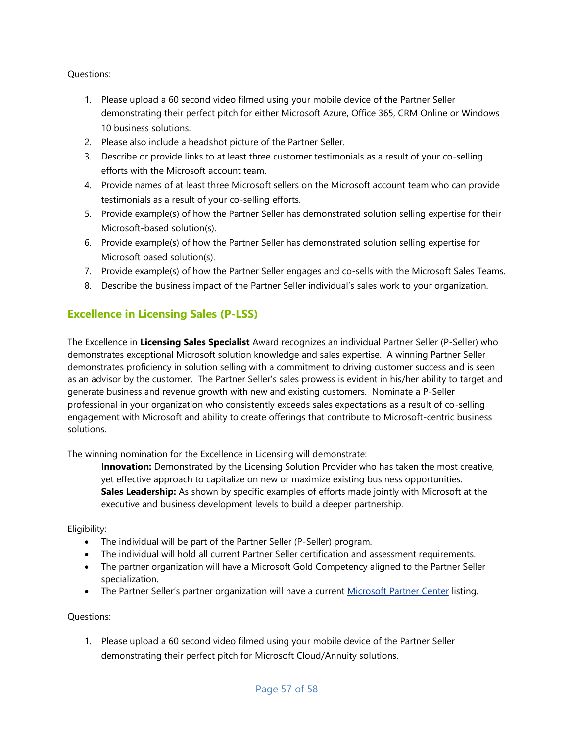#### Questions:

- 1. Please upload a 60 second video filmed using your mobile device of the Partner Seller demonstrating their perfect pitch for either Microsoft Azure, Office 365, CRM Online or Windows 10 business solutions.
- 2. Please also include a headshot picture of the Partner Seller.
- 3. Describe or provide links to at least three customer testimonials as a result of your co-selling efforts with the Microsoft account team.
- 4. Provide names of at least three Microsoft sellers on the Microsoft account team who can provide testimonials as a result of your co-selling efforts.
- 5. Provide example(s) of how the Partner Seller has demonstrated solution selling expertise for their Microsoft-based solution(s).
- 6. Provide example(s) of how the Partner Seller has demonstrated solution selling expertise for Microsoft based solution(s).
- 7. Provide example(s) of how the Partner Seller engages and co-sells with the Microsoft Sales Teams.
- 8. Describe the business impact of the Partner Seller individual's sales work to your organization.

### **Excellence in Licensing Sales (P-LSS)**

The Excellence in **Licensing Sales Specialist** Award recognizes an individual Partner Seller (P-Seller) who demonstrates exceptional Microsoft solution knowledge and sales expertise. A winning Partner Seller demonstrates proficiency in solution selling with a commitment to driving customer success and is seen as an advisor by the customer. The Partner Seller's sales prowess is evident in his/her ability to target and generate business and revenue growth with new and existing customers. Nominate a P-Seller professional in your organization who consistently exceeds sales expectations as a result of co-selling engagement with Microsoft and ability to create offerings that contribute to Microsoft-centric business solutions.

The winning nomination for the Excellence in Licensing will demonstrate:

**Innovation:** Demonstrated by the Licensing Solution Provider who has taken the most creative, yet effective approach to capitalize on new or maximize existing business opportunities. **Sales Leadership:** As shown by specific examples of efforts made jointly with Microsoft at the executive and business development levels to build a deeper partnership.

#### Eligibility:

- The individual will be part of the Partner Seller (P-Seller) program.
- The individual will hold all current Partner Seller certification and assessment requirements.
- The partner organization will have a Microsoft Gold Competency aligned to the Partner Seller specialization.
- The Partner Seller's partner organization will have a current [Microsoft Partner Center](https://partnercenter.microsoft.com/en-us/partner/home) listing.

#### Questions:

1. Please upload a 60 second video filmed using your mobile device of the Partner Seller demonstrating their perfect pitch for Microsoft Cloud/Annuity solutions.